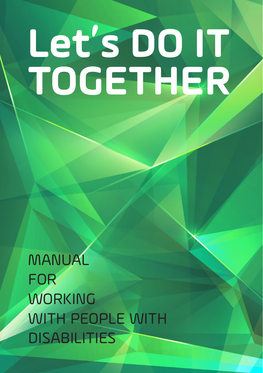# **Let's DO IT TOGETHER**

**CHAPTER**

1

MANUAL FOR WORKING WITH PEOPLE WITH **DISABILITIES**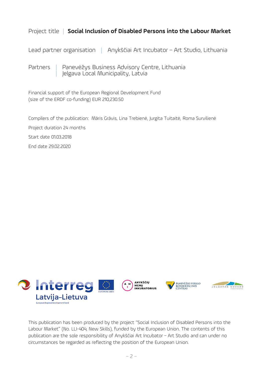#### Project title | **Social Inclusion of Disabled Persons into the Labour Market**

Lead partner organisation | Anykščiai Art Incubator - Art Studio, Lithuania

Partners | Panevėžys Business Advisory Centre, Lithuania<br>| Jelgava Local Municipality, Latvia

Financial support of the European Regional Development Fund (size of the ERDF co-funding) EUR 210,230.50

Compilers of the publication: Māris Grāvis, Lina Trebienė, Jurgita Tuitaitė, Roma Survilienė Project duration 24 months

Start date 01.03.2018

End date 29.02.2020



This publication has been produced by the project "Social Inclusion of Disabled Persons into the Labour Market" (No. LLI-404, New Skills), funded by the European Union. The contents of this publication are the sole responsibility of Anykščiai Art Incubator – Art Studio and can under no circumstances be regarded as reflecting the position of the European Union.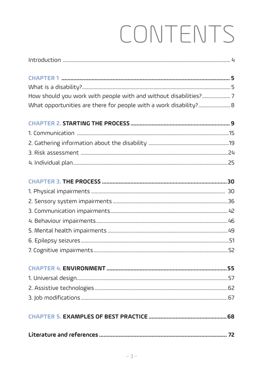# CONTENTS

| How should you work with people with and without disabilities? 7  |  |
|-------------------------------------------------------------------|--|
| What opportunities are there for people with a work disability? 8 |  |
|                                                                   |  |
|                                                                   |  |
|                                                                   |  |
|                                                                   |  |
|                                                                   |  |
|                                                                   |  |
|                                                                   |  |
|                                                                   |  |
|                                                                   |  |
|                                                                   |  |
|                                                                   |  |
|                                                                   |  |
|                                                                   |  |
|                                                                   |  |
|                                                                   |  |
|                                                                   |  |
|                                                                   |  |
|                                                                   |  |
|                                                                   |  |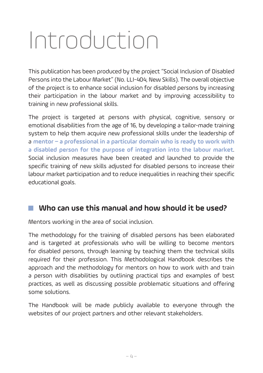# Introduction

This publication has been produced by the project "Social Inclusion of Disabled Persons into the Labour Market" (No. LLI-404, New Skills). The overall objective of the project is to enhance social inclusion for disabled persons by increasing their participation in the labour market and by improving accessibility to training in new professional skills.

The project is targeted at persons with physical, cognitive, sensory or emotional disabilities from the age of 16, by developing a tailor-made training system to help them acquire new professional skills under the leadership of a **mentor – a professional in a particular domain who is ready to work with a disabled person for the purpose of integration into the labour market**. Social inclusion measures have been created and launched to provide the specific training of new skills adjusted for disabled persons to increase their labour market participation and to reduce inequalities in reaching their specific educational goals.

#### **Who can use this manual and how should it be used?**

Mentors working in the area of social inclusion.

The methodology for the training of disabled persons has been elaborated and is targeted at professionals who will be willing to become mentors for disabled persons, through learning by teaching them the technical skills required for their profession. This Methodological Handbook describes the approach and the methodology for mentors on how to work with and train a person with disabilities by outlining practical tips and examples of best practices, as well as discussing possible problematic situations and offering some solutions.

The Handbook will be made publicly available to everyone through the websites of our project partners and other relevant stakeholders.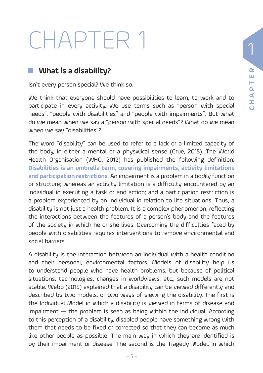# CHAPTER 1

#### **What is a disability?**

Isn't every person special? We think so.

We think that everyone should have possibilities to learn, to work and to participate in every activity. We use terms such as "person with special needs", "people with disabilities" and "people with impairments". But what do we mean when we say a "person with special needs"? What do we mean when we say "disabilities"?

The word "disability" can be used to refer to a lack or a limited capacity of the body, in either a mental or a physwical sense (Grue, 2015). The World Health Organisation (WHO, 2012) has published the following definition: **Disabilities is an umbrella term, covering impairments, activity limitations and participation restrictions**. An impairment is a problem in a bodily function or structure; whereas an activity limitation is a difficulty encountered by an individual in executing a task or and action; and a participation restriction is a problem experienced by an individual in relation to life situations. Thus, a disability is not just a health problem. It is a complex phenomenon, reflecting the interactions between the features of a person's body and the features of the society in which he or she lives. Overcoming the difficulties faced by people with disabilities requires interventions to remove environmental and social barriers.

A disability is the interaction between an individual with a health condition and their personal, environmental factors. Models of disability help us to understand people who have health problems, but because of political situations, technologies, changes in worldviews, etc., such models are not stable. Webb (2015) explained that a disability can be viewed differently and described by two models, or two ways of viewing the disability. The first is the Individual Model in which a disability is viewed in terms of disease and impairment — the problem is seen as being within the individual. According to this perception of a disability, disabled people have something wrong with them that needs to be fixed or corrected so that they can become as much like other people as possible. The main way in which they are identified is by their impairment or disease. The second is the Tragedy Model, in which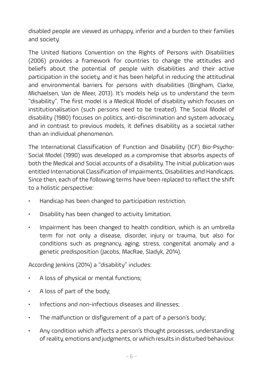disabled people are viewed as unhappy, inferior and a burden to their families and society.

The United Nations Convention on the Rights of Persons with Disabilities (2006) provides a framework for countries to change the attitudes and beliefs about the potential of people with disabilities and their active participation in the society, and it has been helpful in reducing the attitudinal and environmental barriers for persons with disabilities (Bingham, Clarke, Michaelsen, Van de Meer, 2013). It's models help us to understand the term "disability". The first model is a Medical Model of disability which focuses on institutionalisation (such persons need to be treated). The Social Model of disability (1980) focuses on politics, anti-discrimination and system advocacy, and in contrast to previous models, it defines disability as a societal rather than an individual phenomenon.

The International Classification of Function and Disability (ICF) Bio-Psycho-Social Model (1990) was developed as a compromise that absorbs aspects of both the Medical and Social accounts of a disability. The initial publication was entitled International Classification of Impairments, Disabilities and Handicaps. Since then, each of the following terms have been replaced to reflect the shift to a holistic perspective:

- Handicap has been changed to participation restriction.
- Disability has been changed to activity limitation.
- Impairment has been changed to health condition, which is an umbrella term for not only a disease, disorder, injury or trauma, but also for conditions such as pregnancy, aging, stress, congenital anomaly and a genetic predisposition (Jacobs, MacRae, Sladyk, 2014).

According Jenkins (2014) a "disability" includes:

- A loss of physical or mental functions;
- A loss of part of the body;
- Infections and non-infectious diseases and illnesses;
- The malfunction or disfigurement of a part of a person's body;
- Any condition which affects a person's thought processes, understanding of reality, emotions and judgments, or which results in disturbed behaviour.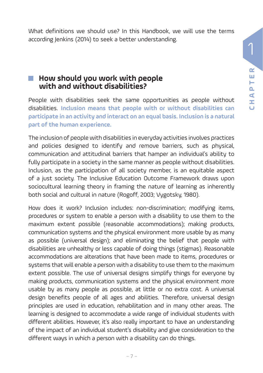What definitions we should use? In this Handbook, we will use the terms according Jenkins (2014) to seek a better understanding.

#### **E** How should you work with people **with and without disabilities?**

People with disabilities seek the same opportunities as people without disabilities. **Inclusion means that people with or without disabilities can participate in an activity and interact on an equal basis. Inclusion is a natural part of the human experience.** 

The inclusion of people with disabilities in everyday activities involves practices and policies designed to identify and remove barriers, such as physical, communication and attitudinal barriers that hamper an individual's ability to fully participate in a society in the same manner as people without disabilities. Inclusion, as the participation of all society member, is an equitable aspect of a just society. The Inclusive Education Outcome Framework draws upon sociocultural learning theory in framing the nature of learning as inherently both social and cultural in nature (Rogoff, 2003; Vygotsky, 1980).

How does it work? Inclusion includes: non-discrimination; modifying items, procedures or system to enable a person with a disability to use them to the maximum extent possible (reasonable accommodations); making products, communication systems and the physical environment more usable by as many as possible (universal design); and eliminating the belief that people with disabilities are unhealthy or less capable of doing things (stigmas). Reasonable accommodations are alterations that have been made to items, procedures or systems that will enable a person with a disability to use them to the maximum extent possible. The use of universal designs simplify things for everyone by making products, communication systems and the physical environment more usable by as many people as possible, at little or no extra cost. A universal design benefits people of all ages and abilities. Therefore, universal design principles are used in education, rehabilitation and in many other areas. The learning is designed to accommodate a wide range of individual students with different abilities. However, it's also really important to have an understanding of the impact of an individual student's disability and give consideration to the different ways in which a person with a disability can do things.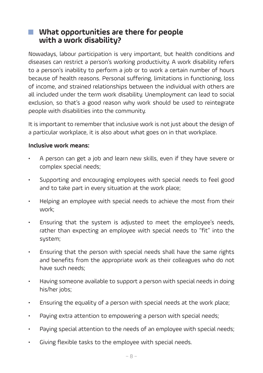#### **What opportunities are there for people with a work disability?**

Nowadays, labour participation is very important, but health conditions and diseases can restrict a person's working productivity. A work disability refers to a person's inability to perform a job or to work a certain number of hours because of health reasons. Personal suffering, limitations in functioning, loss of income, and strained relationships between the individual with others are all included under the term work disability. Unemployment can lead to social exclusion, so that's a good reason why work should be used to reintegrate people with disabilities into the community.

It is important to remember that inclusive work is not just about the design of a particular workplace, it is also about what goes on in that workplace.

#### **Inclusive work means:**

- A person can get a job and learn new skills, even if they have severe or complex special needs;
- Supporting and encouraging employees with special needs to feel good and to take part in every situation at the work place;
- Helping an employee with special needs to achieve the most from their work;
- Ensuring that the system is adjusted to meet the employee's needs, rather than expecting an employee with special needs to "fit" into the system;
- Ensuring that the person with special needs shall have the same rights and benefits from the appropriate work as their colleagues who do not have such needs;
- Having someone available to support a person with special needs in doing his/her jobs;
- Ensuring the equality of a person with special needs at the work place;
- Paying extra attention to empowering a person with special needs;
- Paying special attention to the needs of an employee with special needs;
- Giving flexible tasks to the employee with special needs.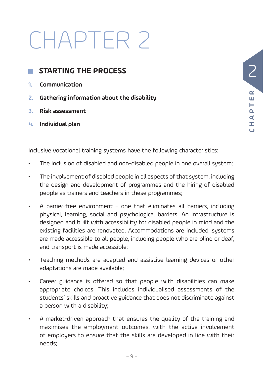# CHAPTER 2

#### **STARTING THE PROCESS**

- **1. Communication**
- **2. Gathering information about the disability**
- **3. Risk assessment**
- **4. Individual plan**

 2  $\sim$ **CHAPTER** ш Н Q, ⋖ Ì,

Inclusive vocational training systems have the following characteristics:

- The inclusion of disabled and non-disabled people in one overall system;
- The involvement of disabled people in all aspects of that system, including the design and development of programmes and the hiring of disabled people as trainers and teachers in these programmes;
- A barrier-free environment one that eliminates all barriers, including physical, learning, social and psychological barriers. An infrastructure is designed and built with accessibility for disabled people in mind and the existing facilities are renovated. Accommodations are included, systems are made accessible to all people, including people who are blind or deaf, and transport is made accessible;
- Teaching methods are adapted and assistive learning devices or other adaptations are made available;
- Career guidance is offered so that people with disabilities can make appropriate choices. This includes individualised assessments of the students' skills and proactive guidance that does not discriminate against a person with a disability;
- A market-driven approach that ensures the quality of the training and maximises the employment outcomes, with the active involvement of employers to ensure that the skills are developed in line with their needs;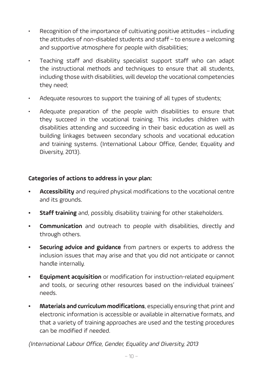- Recognition of the importance of cultivating positive attitudes including the attitudes of non-disabled students and staff – to ensure a welcoming and supportive atmosphere for people with disabilities;
- Teaching staff and disability specialist support staff who can adapt the instructional methods and techniques to ensure that all students, including those with disabilities, will develop the vocational competencies they need;
- Adequate resources to support the training of all types of students;
- Adequate preparation of the people with disabilities to ensure that they succeed in the vocational training. This includes children with disabilities attending and succeeding in their basic education as well as building linkages between secondary schools and vocational education and training systems. (International Labour Office, Gender, Equality and Diversity, 2013).

#### **Categories of actions to address in your plan:**

- **• Accessibility** and required physical modifications to the vocational centre and its grounds.
- **• Staff training** and, possibly, disability training for other stakeholders.
- **• Communication** and outreach to people with disabilities, directly and through others.
- **• Securing advice and guidance** from partners or experts to address the inclusion issues that may arise and that you did not anticipate or cannot handle internally.
- **• Equipment acquisition** or modification for instruction-related equipment and tools, or securing other resources based on the individual trainees' needs.
- **• Materials and curriculum modifications**, especially ensuring that print and electronic information is accessible or available in alternative formats, and that a variety of training approaches are used and the testing procedures can be modified if needed.

(International Labour Office, Gender, Equality and Diversity, 2013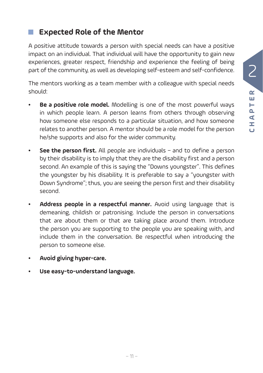#### **Expected Role of the Mentor**

A positive attitude towards a person with special needs can have a positive impact on an individual. That individual will have the opportunity to gain new experiences, greater respect, friendship and experience the feeling of being part of the community, as well as developing self-esteem and self-confidence.

The mentors working as a team member with a colleague with special needs should:

- **Be a positive role model.** Modelling is one of the most powerful ways in which people learn. A person learns from others through observing how someone else responds to a particular situation, and how someone relates to another person. A mentor should be a role model for the person he/she supports and also for the wider community.
- **• See the person first.** All people are individuals and to define a person by their disability is to imply that they are the disability first and a person second. An example of this is saying the "Downs youngster". This defines the youngster by his disability. It is preferable to say a "youngster with Down Syndrome"; thus, you are seeing the person first and their disability second.
- **• Address people in a respectful manner.** Avoid using language that is demeaning, childish or patronising. Include the person in conversations that are about them or that are taking place around them. Introduce the person you are supporting to the people you are speaking with, and include them in the conversation. Be respectful when introducing the person to someone else.
- **• Avoid giving hyper-care.**
- **• Use easy-to-understand language.**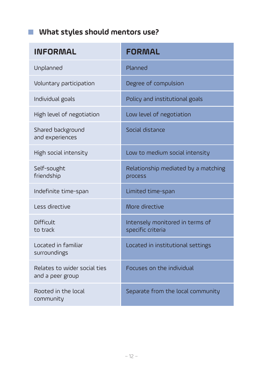#### **What styles should mentors use?**

| <b>INFORMAL</b>                                  | <b>FORMAL</b>                                        |
|--------------------------------------------------|------------------------------------------------------|
| Unplanned                                        | Planned                                              |
| Voluntary participation                          | Degree of compulsion                                 |
| Individual goals                                 | Policy and institutional goals                       |
| High level of negotiation                        | Low level of negotiation                             |
| Shared background<br>and experiences             | Social distance                                      |
| High social intensity                            | Low to medium social intensity                       |
| Self-sought<br>friendship                        | Relationship mediated by a matching<br>process       |
| Indefinite time-span                             | Limited time-span                                    |
| Less directive                                   | More directive                                       |
| Difficult<br>to track                            | Intensely monitored in terms of<br>specific criteria |
| Located in familiar<br>surroundings              | Located in institutional settings                    |
| Relates to wider social ties<br>and a peer group | Focuses on the individual                            |
| Rooted in the local<br>community                 | Separate from the local community                    |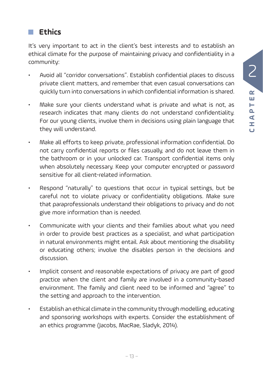#### **Ethics**

It's very important to act in the client's best interests and to establish an ethical climate for the purpose of maintaining privacy and confidentiality in a community:

- Avoid all "corridor conversations". Establish confidential places to discuss private client matters, and remember that even casual conversations can quickly turn into conversations in which confidential information is shared.
- Make sure your clients understand what is private and what is not, as research indicates that many clients do not understand confidentiality. For our young clients, involve them in decisions using plain language that they will understand.
- Make all efforts to keep private, professional information confidential. Do not carry confidential reports or files casually, and do not leave them in the bathroom or in your unlocked car. Transport confidential items only when absolutely necessary. Keep your computer encrypted or password sensitive for all client-related information.
- Respond "naturally" to questions that occur in typical settings, but be careful not to violate privacy or confidentiality obligations. Make sure that paraprofessionals understand their obligations to privacy and do not give more information than is needed.
- Communicate with your clients and their families about what you need in order to provide best practices as a specialist, and what participation in natural environments might entail. Ask about mentioning the disability or educating others; involve the disables person in the decisions and discussion.
- Implicit consent and reasonable expectations of privacy are part of good practice when the client and family are involved in a community-based environment. The family and client need to be informed and "agree" to the setting and approach to the intervention.
- Establish an ethical climate in the community through modelling, educating and sponsoring workshops with experts. Consider the establishment of an ethics programme (Jacobs, MacRae, Sladyk, 2014).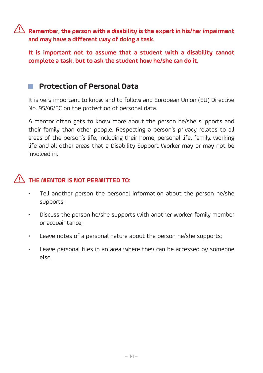$\hat{\mathbb{R}}$  Remember, the person with a disability is the expert in his/her impairment **and may have a different way of doing a task.** 

**It is important not to assume that a student with a disability cannot complete a task, but to ask the student how he/she can do it.**

#### **Protection of Personal Data**

It is very important to know and to follow and European Union (EU) Directive No. 95/46/EC on the protection of personal data.

A mentor often gets to know more about the person he/she supports and their family than other people. Respecting a person's privacy relates to all areas of the person's life, including their home, personal life, family, working life and all other areas that a Disability Support Worker may or may not be involved in.

#### **THE MENTOR IS NOT PERMITTED TO:**

- Tell another person the personal information about the person he/she supports;
- Discuss the person he/she supports with another worker, family member or acquaintance;
- Leave notes of a personal nature about the person he/she supports;
- Leave personal files in an area where they can be accessed by someone else.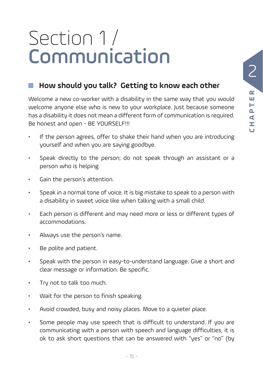### Section 1 / Communication

#### **How should you talk? Getting to know each other**

Welcome a new co-worker with a disability in the same way that you would welcome anyone else who is new to your workplace. Just because someone has a disability it does not mean a different form of communication is required. Be honest and open - BE YOURSELF!!!

- If the person agrees, offer to shake their hand when you are introducing yourself and when you are saying goodbye.
- Speak directly to the person; do not speak through an assistant or a person who is helping.
- Gain the person's attention.
- Speak in a normal tone of voice. It is big mistake to speak to a person with a disability in sweet voice like when talking with a small child.
- Each person is different and may need more or less or different types of accommodations.
- Always use the person's name.
- Be polite and patient.
- Speak with the person in easy-to-understand language. Give a short and clear message or information. Be specific.
- Try not to talk too much.
- Wait for the person to finish speaking.
- Avoid crowded, busy and noisy places. Move to a quieter place.
- Some people may use speech that is difficult to understand. If you are communicating with a person with speech and language difficulties, it is ok to ask short questions that can be answered with "yes" or "no" (by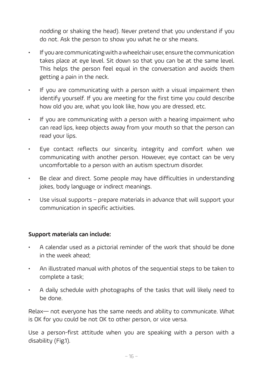nodding or shaking the head). Never pretend that you understand if you do not. Ask the person to show you what he or she means.

- If you are communicating with a wheelchair user, ensure the communication takes place at eye level. Sit down so that you can be at the same level. This helps the person feel equal in the conversation and avoids them getting a pain in the neck.
- If you are communicating with a person with a visual impairment then identify yourself. If you are meeting for the first time you could describe how old you are, what you look like, how you are dressed, etc.
- If you are communicating with a person with a hearing impairment who can read lips, keep objects away from your mouth so that the person can read your lips.
- Eye contact reflects our sincerity, integrity and comfort when we communicating with another person. However, eye contact can be very uncomfortable to a person with an autism spectrum disorder.
- Be clear and direct. Some people may have difficulties in understanding jokes, body language or indirect meanings.
- Use visual supports prepare materials in advance that will support your communication in specific activities.

#### **Support materials can include:**

- A calendar used as a pictorial reminder of the work that should be done in the week ahead;
- An illustrated manual with photos of the sequential steps to be taken to complete a task;
- A daily schedule with photographs of the tasks that will likely need to be done.

Relax— not everyone has the same needs and ability to communicate. What is OK for you could be not OK to other person, or vice versa.

Use a person-first attitude when you are speaking with a person with a disability (Fig.1).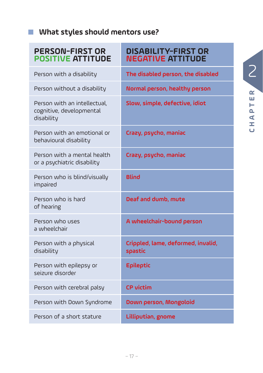#### **What styles should mentors use?**

#### **PERSON-FIRST OR POSITIVE ATTITUDE**

Person with an intellectual, cognitive, developmental

Person with an emotional or

Person with a mental health or a psychiatric disability

Person who is blind/visually

behavioural disability

Person who is hard

Person who uses a wheelchair

Person with a physical

Person with epilepsy or seizure disorder

disability

impaired

of hearing

disability

#### **DISABILITY-FIRST OR NEGATIVE ATTITUDE**

Person with a disability **The disabled person, the disabled**

Person without a disability **Normal person, healthy person**

**Slow, simple, defective, idiot** 

**Crazy, psycho, maniac**

**Crazy, psycho, maniac**

**Blind**

**Deaf and dumb, mute**

**A wheelchair-bound person**

**Crippled, lame, deformed, invalid, spastic**

**Epileptic**

Person with cerebral palsy **CP victim** 

Person with Down Syndrome **Down person, Mongoloid** 

Person of a short stature **Lilliputian, gnome**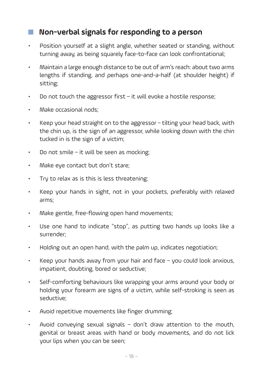#### **Non-verbal signals for responding to a person**

- Position yourself at a slight angle, whether seated or standing, without turning away, as being squarely face-to-face can look confrontational;
- Maintain a large enough distance to be out of arm's reach: about two arms lengths if standing, and perhaps one-and-a-half (at shoulder height) if sitting;
- Do not touch the aggressor first it will evoke a hostile response;
- Make occasional nods;
- Keep your head straight on to the aggressor tilting your head back, with the chin up, is the sign of an aggressor, while looking down with the chin tucked in is the sign of a victim;
- Do not smile it will be seen as mocking;
- Make eye contact but don't stare;
- Try to relax as is this is less threatening;
- Keep your hands in sight, not in your pockets, preferably with relaxed arms;
- Make gentle, free-flowing open hand movements;
- Use one hand to indicate "stop", as putting two hands up looks like a surrender;
- Holding out an open hand, with the palm up, indicates negotiation;
- Keep your hands away from your hair and face you could look anxious, impatient, doubting, bored or seductive;
- Self-comforting behaviours like wrapping your arms around your body or holding your forearm are signs of a victim, while self-stroking is seen as seductive;
- Avoid repetitive movements like finger drumming;
- Avoid conveying sexual signals don't draw attention to the mouth, genital or breast areas with hand or body movements, and do not lick your lips when you can be seen;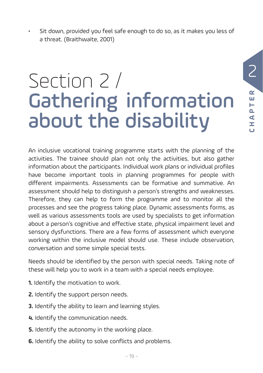Sit down, provided you feel safe enough to do so, as it makes you less of a threat. (Braithwaite, 2001)

## Section 2 / Gathering information about the disability

An inclusive vocational training programme starts with the planning of the activities. The trainee should plan not only the activities, but also gather information about the participants. Individual work plans or individual profiles have become important tools in planning programmes for people with different impairments. Assessments can be formative and summative. An assessment should help to distinguish a person's strengths and weaknesses. Therefore, they can help to form the programme and to monitor all the processes and see the progress taking place. Dynamic assessments forms, as well as various assessments tools are used by specialists to get information about a person's cognitive and effective state, physical impairment level and sensory dysfunctions. There are a few forms of assessment which everyone working within the inclusive model should use. These include observation, conversation and some simple special tests.

Needs should be identified by the person with special needs. Taking note of these will help you to work in a team with a special needs employee.

- **1.** Identify the motivation to work.
- **2.** Identify the support person needs.
- **3.** Identify the ability to learn and learning styles.
- **4.** Identify the communication needs.
- **5.** Identify the autonomy in the working place.
- **6.** Identify the ability to solve conflicts and problems.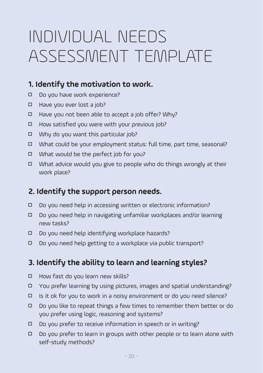### INDIVIDUAL NEEDS ASSESSMENT TEMPI ATF

#### **1. Identify the motivation to work.**

- Do you have work experience?
- Have you ever lost a job?
- □ Have you not been able to accept a job offer? Why?
- $\Box$  How satisfied you were with your previous job?
- □ Why do you want this particular job?
- 5 What could be your employment status: full time, part time, seasonal?
- 5 What would be the perfect job for you?
- $\Box$  What advice would you give to people who do things wrongly at their work place?

#### **2. Identify the support person needs.**

- 5 Do you need help in accessing written or electronic information?
- 5 Do you need help in navigating unfamiliar workplaces and/or learning new tasks?
- 5 Do you need help identifying workplace hazards?
- 5 Do you need help getting to a workplace via public transport?

#### **3. Identify the ability to learn and learning styles?**

- □ How fast do you learn new skills?
- 5 You prefer learning by using pictures, images and spatial understanding?
- $\Box$  Is it ok for you to work in a noisy environment or do you need silence?
- 5 Do you like to repeat things a few times to remember them better or do you prefer using logic, reasoning and systems?
- 5 Do you prefer to receive information in speech or in writing?
- $\Box$  Do you prefer to learn in groups with other people or to learn alone with self-study methods?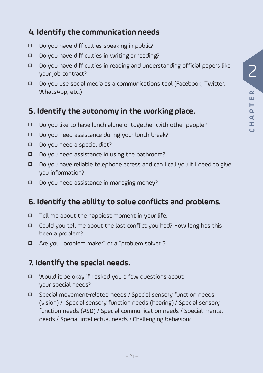#### **4. Identify the communication needs**

- $\Box$  Do you have difficulties speaking in public?
- $\Box$  Do you have difficulties in writing or reading?
- 5 Do you have difficulties in reading and understanding official papers like your job contract?
- 5 Do you use social media as a communications tool (Facebook, Twitter, WhatsApp, etc.)

#### **5. Identify the autonomy in the working place.**

- 5 Do you like to have lunch alone or together with other people?
- 5 Do you need assistance during your lunch break?
- Do you need a special diet?
- 5 Do you need assistance in using the bathroom?
- 5 Do you have reliable telephone access and can I call you if I need to give you information?
- 5 Do you need assistance in managing money?

#### **6. Identify the ability to solve conflicts and problems.**

- $\Box$  Tell me about the happiest moment in your life.
- 5 Could you tell me about the last conflict you had? How long has this been a problem?
- 5 Are you "problem maker" or a "problem solver"?

#### **7. Identify the special needs.**

- □ Would it be okay if I asked you a few questions about your special needs?
- 5 Special movement-related needs / Special sensory function needs (vision) / Special sensory function needs (hearing) / Special sensory function needs (ASD) / Special communication needs / Special mental needs / Special intellectual needs / Challenging behaviour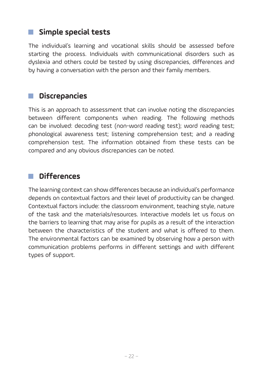#### **Simple special tests**

The individual's learning and vocational skills should be assessed before starting the process. Individuals with communicational disorders such as dyslexia and others could be tested by using discrepancies, differences and by having a conversation with the person and their family members.

#### **Discrepancies**

This is an approach to assessment that can involve noting the discrepancies between different components when reading. The following methods can be involved: decoding test (non-word reading test); word reading test; phonological awareness test; listening comprehension test; and a reading comprehension test. The information obtained from these tests can be compared and any obvious discrepancies can be noted.

#### **Differences**

The learning context can show differences because an individual's performance depends on contextual factors and their level of productivity can be changed. Contextual factors include: the classroom environment, teaching style, nature of the task and the materials/resources. Interactive models let us focus on the barriers to learning that may arise for pupils as a result of the interaction between the characteristics of the student and what is offered to them. The environmental factors can be examined by observing how a person with communication problems performs in different settings and with different types of support.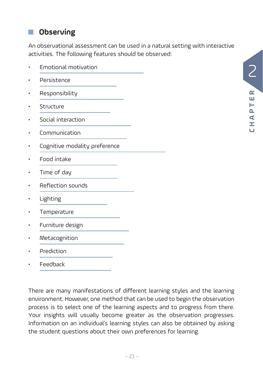#### 2  $\alpha$ **CHAPTER** Ш Н  $\mathbf{a}$ ⋖ Ì,

#### **Observing**

An observational assessment can be used in a natural setting with interactive activities. The following features should be observed:

| Emotional motivation          |  |
|-------------------------------|--|
| Persistence                   |  |
| Responsibility                |  |
| Structure                     |  |
| Social interaction            |  |
| Communication                 |  |
| Cognitive modality preference |  |
| Food intake                   |  |
| Time of day                   |  |
| Reflection sounds             |  |
| Lighting                      |  |
| Temperature                   |  |
| Furniture design              |  |
| Metacognition                 |  |
| Prediction                    |  |

• Feedback

There are many manifestations of different learning styles and the learning environment. However, one method that can be used to begin the observation process is to select one of the learning aspects and to progress from there. Your insights will usually become greater as the observation progresses. Information on an individual's learning styles can also be obtained by asking the student questions about their own preferences for learning.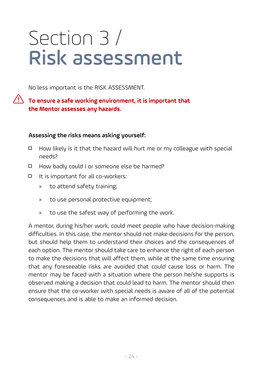## Section 3 / Risk assessment

No less important is the RISK ASSESSMENT.

#### **To ensure a safe working environment, it is important that the Mentor assesses any hazards.**

#### **Assessing the risks means asking yourself:**

- $\Box$  How likely is it that the hazard will hurt me or my colleague with special needs?
- 5 How badly could I or someone else be harmed?
- 5 It is important for all co-workers:
	- » to attend safety training;
	- » to use personal protective equipment;
	- » to use the safest way of performing the work.

A mentor, during his/her work, could meet people who have decision-making difficulties. In this case, the mentor should not make decisions for the person, but should help them to understand their choices and the consequences of each option. The mentor should take care to enhance the right of each person to make the decisions that will affect them, while at the same time ensuring that any foreseeable risks are avoided that could cause loss or harm. The mentor may be faced with a situation where the person he/she supports is observed making a decision that could lead to harm. The mentor should then ensure that the co-worker with special needs is aware of all of the potential consequences and is able to make an informed decision.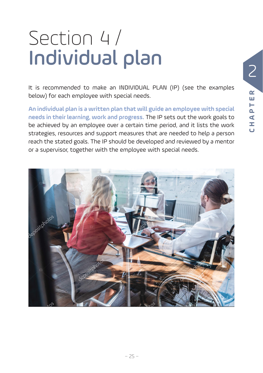# Section 4 / Individual plan

It is recommended to make an INDIVIDUAL PLAN (IP) (see the examples below) for each employee with special needs.

**An individual plan is a written plan that will guide an employee with special needs in their learning, work and progress.** The IP sets out the work goals to be achieved by an employee over a certain time period, and it lists the work strategies, resources and support measures that are needed to help a person reach the stated goals. The IP should be developed and reviewed by a mentor or a supervisor, together with the employee with special needs.

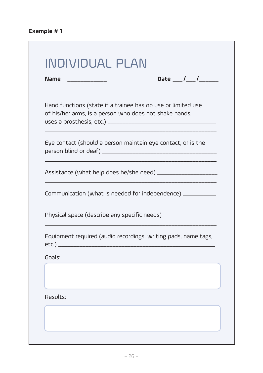| <b>Name</b>                                                                                                            |                                                                 |
|------------------------------------------------------------------------------------------------------------------------|-----------------------------------------------------------------|
| Hand functions (state if a trainee has no use or limited use<br>of his/her arms, is a person who does not shake hands, |                                                                 |
| Eye contact (should a person maintain eye contact, or is the                                                           |                                                                 |
|                                                                                                                        | Assistance (what help does he/she need) _____________________   |
|                                                                                                                        | Communication (what is needed for independence) __________      |
|                                                                                                                        | Physical space (describe any specific needs) __________________ |
|                                                                                                                        | Equipment required (audio recordings, writing pads, name tags,  |
| Goals:                                                                                                                 |                                                                 |
|                                                                                                                        |                                                                 |
| Results:                                                                                                               |                                                                 |

<u> 1980 - Johann Barn, mars ann an t-Amhain an t-Amhain an t-Amhain an t-Amhain an t-Amhain an t-Amhain an t-Amh</u>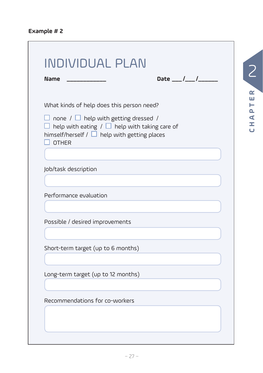| <b>Name</b>                                                                                                                                                                 |  |  |
|-----------------------------------------------------------------------------------------------------------------------------------------------------------------------------|--|--|
| What kinds of help does this person need?                                                                                                                                   |  |  |
| $\Box$ none / $\Box$ help with getting dressed /<br>help with eating / $\Box$ help with taking care of<br>himself/herself / $\Box$ help with getting places<br><b>OTHER</b> |  |  |
|                                                                                                                                                                             |  |  |
| Job/task description                                                                                                                                                        |  |  |
|                                                                                                                                                                             |  |  |
| Performance evaluation                                                                                                                                                      |  |  |
|                                                                                                                                                                             |  |  |
| Possible / desired improvements                                                                                                                                             |  |  |
|                                                                                                                                                                             |  |  |
| Short-term target (up to 6 months)                                                                                                                                          |  |  |
|                                                                                                                                                                             |  |  |
| Long-term target (up to 12 months)                                                                                                                                          |  |  |
|                                                                                                                                                                             |  |  |
| Recommendations for co-workers                                                                                                                                              |  |  |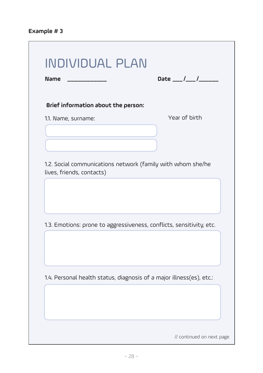| Brief information about the person: |                                                                      |
|-------------------------------------|----------------------------------------------------------------------|
| 1.1. Name, surname:                 | Year of birth                                                        |
|                                     |                                                                      |
|                                     |                                                                      |
| lives, friends, contacts)           | 1.2. Social communications network (family with whom she/he          |
|                                     |                                                                      |
|                                     |                                                                      |
|                                     |                                                                      |
|                                     |                                                                      |
|                                     | 1.3. Emotions: prone to aggressiveness, conflicts, sensitivity, etc. |
|                                     |                                                                      |
|                                     |                                                                      |
|                                     | 1.4. Personal health status, diagnosis of a major illness(es), etc.: |
|                                     |                                                                      |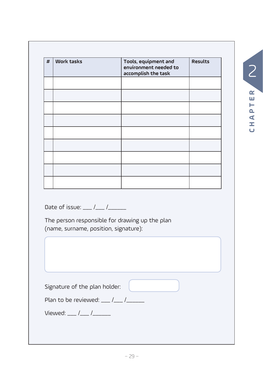| <b>Work tasks</b>                                                    | Tools, equipment and<br>environment needed to<br>accomplish the task | <b>Results</b> |
|----------------------------------------------------------------------|----------------------------------------------------------------------|----------------|
|                                                                      |                                                                      |                |
|                                                                      |                                                                      |                |
|                                                                      |                                                                      |                |
|                                                                      |                                                                      |                |
|                                                                      |                                                                      |                |
|                                                                      |                                                                      |                |
|                                                                      |                                                                      |                |
|                                                                      |                                                                      |                |
|                                                                      |                                                                      |                |
|                                                                      |                                                                      |                |
|                                                                      |                                                                      |                |
| Date of issue: __ /__ /____<br>(name, surname, position, signature): | The person responsible for drawing up the plan                       |                |
|                                                                      |                                                                      |                |
|                                                                      |                                                                      |                |
| Signature of the plan holder:                                        |                                                                      |                |
| Plan to be reviewed: __ /__ /____                                    |                                                                      |                |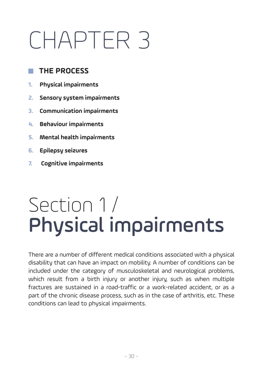# CHAPTER 3

#### **THE PROCESS**

- **1. Physical impairments**
- **2. Sensory system impairments**
- **3. Communication impairments**
- **4. Behaviour impairments**
- **5. Mental health impairments**
- **6. Epilepsy seizures**
- **7. Cognitive impairments**

### Section 1 / Physical impairments

There are a number of different medical conditions associated with a physical disability that can have an impact on mobility. A number of conditions can be included under the category of musculoskeletal and neurological problems, which result from a birth injury or another injury, such as when multiple fractures are sustained in a road-traffic or a work-related accident, or as a part of the chronic disease process, such as in the case of arthritis, etc. These conditions can lead to physical impairments.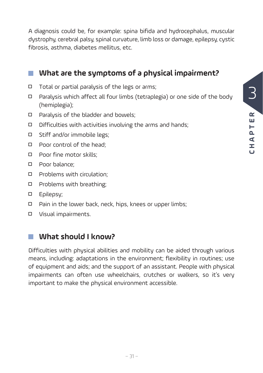3  $\alpha$ **CHAPTER** Ш H<br>Q  $\blacktriangleleft$  $\vec{r}$  $\overline{\mathbf{C}}$ 

A diagnosis could be, for example: spina bifida and hydrocephalus, muscular dystrophy, cerebral palsy, spinal curvature, limb loss or damage, epilepsy, cystic fibrosis, asthma, diabetes mellitus, etc.

#### **What are the symptoms of a physical impairment?**

- $\Box$  Total or partial paralysis of the legs or arms;
- 5 Paralysis which affect all four limbs (tetraplegia) or one side of the body (hemiplegia);
- 5 Paralysis of the bladder and bowels;
- $\Box$  Difficulties with activities involving the arms and hands;
- □ Stiff and/or immobile legs:
- 5 Poor control of the head;
- □ Poor fine motor skills:
- 5 Poor balance;
- 5 Problems with circulation;
- □ Problems with breathing;
- 5 Epilepsy;
- □ Pain in the lower back, neck, hips, knees or upper limbs;
- 5 Visual impairments.

#### **What should I know?**

Difficulties with physical abilities and mobility can be aided through various means, including: adaptations in the environment; flexibility in routines; use of equipment and aids; and the support of an assistant. People with physical impairments can often use wheelchairs, crutches or walkers, so it's very important to make the physical environment accessible.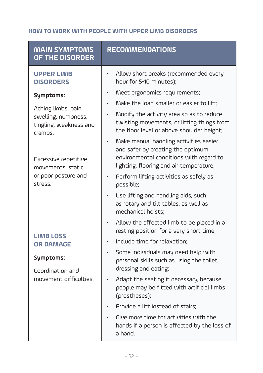#### **HOW TO WORK WITH PEOPLE WITH UPPER LIMB DISORDERS**

| <b>MAIN SYMPTOMS</b><br>OF THE DISORDER                                         | <b>RECOMMENDATIONS</b>                                                                                                                                                                       |
|---------------------------------------------------------------------------------|----------------------------------------------------------------------------------------------------------------------------------------------------------------------------------------------|
| <b>UPPER LIMB</b><br><b>DISORDERS</b>                                           | Allow short breaks (recommended every<br>hour for 5-10 minutes);                                                                                                                             |
| Symptoms:                                                                       | Meet ergonomics requirements;<br>$\bullet$                                                                                                                                                   |
| Aching limbs, pain,<br>swelling, numbness,<br>tingling, weakness and<br>cramps. | Make the load smaller or easier to lift;<br>Modify the activity area so as to reduce<br>$\bullet$<br>twisting movements, or lifting things from<br>the floor level or above shoulder height; |
| Excessive repetitive<br>movements, static<br>or poor posture and<br>stress.     | Make manual handling activities easier<br>٠<br>and safer by creating the optimum<br>environmental conditions with regard to<br>lighting, flooring and air temperature;                       |
|                                                                                 | Perform lifting activities as safely as<br>$\bullet$<br>possible;                                                                                                                            |
|                                                                                 | Use lifting and handling aids, such<br>$\bullet$<br>as rotary and tilt tables, as well as<br>mechanical hoists;                                                                              |
|                                                                                 | Allow the affected limb to be placed in a<br>resting position for a very short time;                                                                                                         |
| <b>LIMB LOSS</b><br><b>OR DAMAGE</b>                                            | Include time for relaxation;<br>$\bullet$                                                                                                                                                    |
| Symptoms:<br>Coordination and                                                   | Some individuals may need help with<br>$\bullet$<br>personal skills such as using the toilet,<br>dressing and eating;                                                                        |
| movement difficulties.                                                          | Adapt the seating if necessary, because<br>$\bullet$<br>people may be fitted with artificial limbs<br>(prostheses);                                                                          |
|                                                                                 | Provide a lift instead of stairs;                                                                                                                                                            |
|                                                                                 | Give more time for activities with the<br>hands if a person is affected by the loss of<br>a hand.                                                                                            |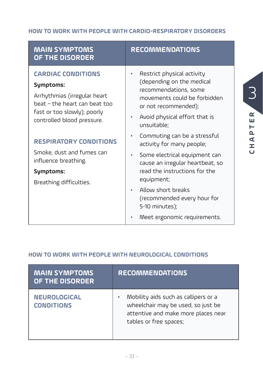#### **HOW TO WORK WITH PEOPLE WITH CARDIO-RESPIRATORY DISORDERS**

| <b>MAIN SYMPTOMS</b><br>OF THE DISORDER                                                                                                                              | <b>RECOMMENDATIONS</b>                                                                                                                                                                              |  |
|----------------------------------------------------------------------------------------------------------------------------------------------------------------------|-----------------------------------------------------------------------------------------------------------------------------------------------------------------------------------------------------|--|
| <b>CARDIAC CONDITIONS</b><br>Symptoms:<br>Arrhythmias (irregular heart<br>beat - the heart can beat too<br>fast or too slowly); poorly<br>controlled blood pressure. | Restrict physical activity<br>$\bullet$<br>(depending on the medical<br>recommendations, some<br>movements could be forbidden<br>or not recommended);<br>Avoid physical effort that is<br>$\bullet$ |  |
| <b>RESPIRATORY CONDITIONS</b>                                                                                                                                        | unsuitable;<br>Commuting can be a stressful<br>$\bullet$<br>activity for many people;                                                                                                               |  |
| Smoke, dust and fumes can<br>influence breathing.<br>Symptoms:<br>Breathing difficulties.                                                                            | Some electrical equipment can<br>$\bullet$<br>cause an irregular heartbeat, so<br>read the instructions for the<br>equipment;                                                                       |  |
|                                                                                                                                                                      | Allow short breaks<br>$\bullet$<br>(recommended every hour for<br>5-10 minutes);                                                                                                                    |  |
|                                                                                                                                                                      | Meet ergonomic requirements.<br>$\bullet$                                                                                                                                                           |  |

**CHAPTER**

CHAPTER

3

#### **HOW TO WORK WITH PEOPLE WITH NEUROLOGICAL CONDITIONS**

| <b>MAIN SYMPTOMS</b><br>OF THE DISORDER  | <b>RECOMMENDATIONS</b>                                                                                                                      |
|------------------------------------------|---------------------------------------------------------------------------------------------------------------------------------------------|
| <b>NEUROLOGICAL</b><br><b>CONDITIONS</b> | Mobility aids such as callipers or a<br>wheelchair may be used, so just be<br>attentive and make more places near<br>tables or free spaces; |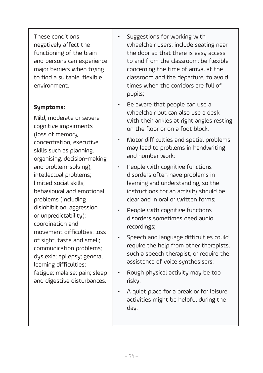These conditions negatively affect the functioning of the brain and persons can experience major barriers when trying to find a suitable, flexible environment.

#### **Symptoms:**

Mild, moderate or severe cognitive impairments (loss of memory, concentration, executive skills such as planning, organising, decision-making and problem-solving); intellectual problems; limited social skills; behavioural and emotional problems (including disinhibition, aggression or unpredictability); coordination and movement difficulties; loss of sight, taste and smell; communication problems; dyslexia; epilepsy; general learning difficulties; fatigue; malaise; pain; sleep and digestive disturbances.

- Suggestions for working with wheelchair users: include seating near the door so that there is easy access to and from the classroom; be flexible concerning the time of arrival at the classroom and the departure, to avoid times when the corridors are full of pupils;
- Be aware that people can use a wheelchair but can also use a desk with their ankles at right angles resting on the floor or on a foot block;
- Motor difficulties and spatial problems may lead to problems in handwriting and number work;
- People with cognitive functions disorders often have problems in learning and understanding, so the instructions for an activity should be clear and in oral or written forms;
- People with cognitive functions disorders sometimes need audio recordings;
- Speech and language difficulties could require the help from other therapists, such a speech therapist, or require the assistance of voice synthesisers;
- Rough physical activity may be too risky;
- A quiet place for a break or for leisure activities might be helpful during the day;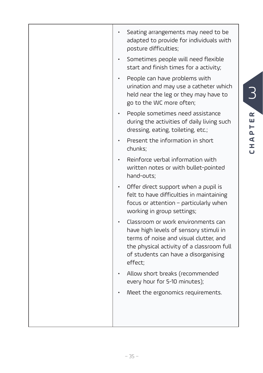| Seating arrangements may need to be<br>adapted to provide for individuals with<br>posture difficulties;<br>Sometimes people will need flexible                                                                         |
|------------------------------------------------------------------------------------------------------------------------------------------------------------------------------------------------------------------------|
| start and finish times for a activity;                                                                                                                                                                                 |
| People can have problems with<br>urination and may use a catheter which<br>held near the leg or they may have to<br>go to the WC more often;                                                                           |
| People sometimes need assistance<br>during the activities of daily living such<br>dressing, eating, toileting, etc.;                                                                                                   |
| Present the information in short<br>chunks;                                                                                                                                                                            |
| Reinforce verbal information with<br>written notes or with bullet-pointed<br>hand-outs;                                                                                                                                |
| Offer direct support when a pupil is<br>felt to have difficulties in maintaining<br>focus or attention - particularly when<br>working in group settings;                                                               |
| Classroom or work environments can<br>have high levels of sensory stimuli in<br>terms of noise and visual clutter, and<br>the physical activity of a classroom full<br>of students can have a disorganising<br>effect; |
| Allow short breaks (recommended<br>every hour for 5-10 minutes);                                                                                                                                                       |
| Meet the ergonomics requirements.                                                                                                                                                                                      |
|                                                                                                                                                                                                                        |
|                                                                                                                                                                                                                        |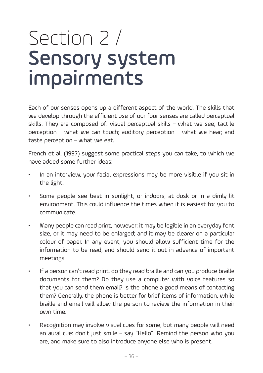### Section 2 / Sensory system impairments

Each of our senses opens up a different aspect of the world. The skills that we develop through the efficient use of our four senses are called perceptual skills. They are composed of: visual perceptual skills – what we see; tactile perception – what we can touch; auditory perception – what we hear; and taste perception – what we eat.

French et al. (1997) suggest some practical steps you can take, to which we have added some further ideas:

- In an interview, your facial expressions may be more visible if you sit in the light.
- Some people see best in sunlight, or indoors, at dusk or in a dimly-lit environment. This could influence the times when it is easiest for you to communicate.
- Many people can read print, however: it may be legible in an everyday font size, or it may need to be enlarged; and it may be clearer on a particular colour of paper. In any event, you should allow sufficient time for the information to be read, and should send it out in advance of important meetings.
- If a person can't read print, do they read braille and can you produce braille documents for them? Do they use a computer with voice features so that you can send them email? Is the phone a good means of contacting them? Generally, the phone is better for brief items of information, while braille and email will allow the person to review the information in their own time.
- Recognition may involve visual cues for some, but many people will need an aural cue: don't just smile – say "Hello". Remind the person who you are, and make sure to also introduce anyone else who is present.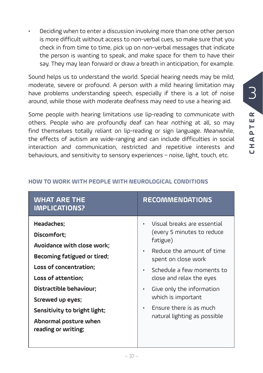• Deciding when to enter a discussion involving more than one other person is more difficult without access to non-verbal cues, so make sure that you check in from time to time, pick up on non-verbal messages that indicate the person is wanting to speak, and make space for them to have their say. They may lean forward or draw a breath in anticipation, for example.

Sound helps us to understand the world. Special hearing needs may be mild, moderate, severe or profound. A person with a mild hearing limitation may have problems understanding speech, especially if there is a lot of noise around, while those with moderate deafness may need to use a hearing aid.

Some people with hearing limitations use lip-reading to communicate with others. People who are profoundly deaf can hear nothing at all, so may find themselves totally reliant on lip-reading or sign language. Meanwhile, the effects of autism are wide-ranging and can include difficulties in social interaction and communication, restricted and repetitive interests and behaviours, and sensitivity to sensory experiences – noise, light, touch, etc.

| <b>WHAT ARE THE</b><br><b>IMPLICATIONS?</b>                                                                                                                                                                                                                           | <b>RECOMMENDATIONS</b>                                                                                                                                                                                                                                                                                                                               |
|-----------------------------------------------------------------------------------------------------------------------------------------------------------------------------------------------------------------------------------------------------------------------|------------------------------------------------------------------------------------------------------------------------------------------------------------------------------------------------------------------------------------------------------------------------------------------------------------------------------------------------------|
| Headaches;<br>Discomfort;<br>Avoidance with close work;<br>Becoming fatigued or tired;<br>Loss of concentration;<br>Loss of attention;<br>Distractible behaviour;<br>Screwed up eyes;<br>Sensitivity to bright light;<br>Abnormal posture when<br>reading or writing; | Visual breaks are essential<br>(every 5 minutes to reduce<br>fatigue)<br>Reduce the amount of time<br>$\bullet$<br>spent on close work<br>Schedule a few moments to<br>$\bullet$<br>close and relax the eyes<br>Give only the information<br>$\bullet$<br>which is important<br>Ensure there is as much<br>$\bullet$<br>natural lighting as possible |

#### **HOW TO WORK WITH PEOPLE WITH NEUROLOGICAL CONDITIONS**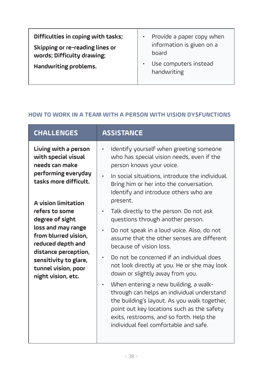| Difficulties in coping with tasks;<br>Skipping or re-reading lines or<br>words; Difficulty drawing; | Provide a paper copy when<br>$\bullet$<br>information is given on a<br>board |
|-----------------------------------------------------------------------------------------------------|------------------------------------------------------------------------------|
| Handwriting problems.                                                                               | Use computers instead<br>٠<br>handwriting                                    |

#### **HOW TO WORK IN A TEAM WITH A PERSON WITH VISION DYSFUNCTIONS**

| Living with a person<br>Identify yourself when greeting someone<br>with special visual<br>who has special vision needs, even if the<br>needs can make<br>person knows your voice.<br>performing everyday<br>In social situations, introduce the individual.<br>tasks more difficult.<br>Bring him or her into the conversation.<br>Identify and introduce others who are<br>present.<br>A vision limitation<br>refers to some<br>Talk directly to the person. Do not ask<br>$\bullet$<br>degree of sight<br>questions through another person.<br>loss and may range<br>Do not speak in a loud voice. Also, do not<br>۰<br>from blurred vision,<br>assume that the other senses are different<br>reduced depth and<br>because of vision loss.<br>distance perception,<br>Do not be concerned if an individual does<br>sensitivity to glare,<br>not look directly at you. He or she may look<br>tunnel vision, poor<br>down or slightly away from you.<br>night vision, etc.<br>When entering a new building, a walk-<br>$\bullet$<br>through can helps an individual understand<br>the building's layout. As you walk together,<br>point out key locations such as the safety<br>exits, restrooms, and so forth. Help the<br>individual feel comfortable and safe. | <b>CHALLENGES</b> | <b>ASSISTANCE</b> |
|-------------------------------------------------------------------------------------------------------------------------------------------------------------------------------------------------------------------------------------------------------------------------------------------------------------------------------------------------------------------------------------------------------------------------------------------------------------------------------------------------------------------------------------------------------------------------------------------------------------------------------------------------------------------------------------------------------------------------------------------------------------------------------------------------------------------------------------------------------------------------------------------------------------------------------------------------------------------------------------------------------------------------------------------------------------------------------------------------------------------------------------------------------------------------------------------------------------------------------------------------------------------|-------------------|-------------------|
|                                                                                                                                                                                                                                                                                                                                                                                                                                                                                                                                                                                                                                                                                                                                                                                                                                                                                                                                                                                                                                                                                                                                                                                                                                                                   |                   |                   |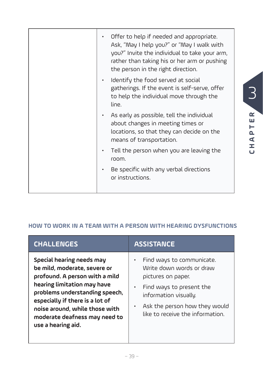| Offer to help if needed and appropriate.<br>Ask, "May I help you?" or "May I walk with<br>you?" Invite the individual to take your arm,<br>rather than taking his or her arm or pushing<br>the person in the right direction. |
|-------------------------------------------------------------------------------------------------------------------------------------------------------------------------------------------------------------------------------|
| Identify the food served at social<br>gatherings. If the event is self-serve, offer<br>to help the individual move through the<br>line.                                                                                       |
| As early as possible, tell the individual<br>about changes in meeting times or<br>locations, so that they can decide on the<br>means of transportation.                                                                       |
| Tell the person when you are leaving the<br>room.                                                                                                                                                                             |
| Be specific with any verbal directions<br>or instructions.                                                                                                                                                                    |

#### **HOW TO WORK IN A TEAM WITH A PERSON WITH HEARING DYSFUNCTIONS**

| <b>CHALLENGES</b>                                                                                                                                                                                                                                                                        | <b>ASSISTANCE</b>                                                                                                                                                                                     |
|------------------------------------------------------------------------------------------------------------------------------------------------------------------------------------------------------------------------------------------------------------------------------------------|-------------------------------------------------------------------------------------------------------------------------------------------------------------------------------------------------------|
| Special hearing needs may<br>be mild, moderate, severe or<br>profound. A person with a mild<br>hearing limitation may have<br>problems understanding speech,<br>especially if there is a lot of<br>noise around, while those with<br>moderate deafness may need to<br>use a hearing aid. | Find ways to communicate.<br>Write down words or draw<br>pictures on paper.<br>Find ways to present the<br>information visually.<br>Ask the person how they would<br>like to receive the information. |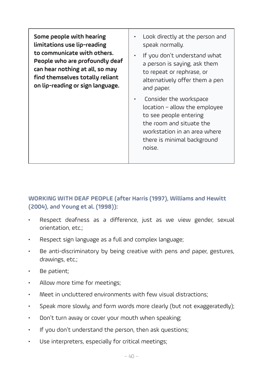**Some people with hearing limitations use lip-reading to communicate with others. People who are profoundly deaf can hear nothing at all, so may find themselves totally reliant on lip-reading or sign language.** Look directly at the person and speak normally. • If you don't understand what a person is saying, ask them to repeat or rephrase, or alternatively offer them a pen and paper. • Consider the workspace location – allow the employee to see people entering the room and situate the workstation in an area where

**WORKING WITH DEAF PEOPLE (after Harris (1997), Williams and Hewitt (2004), and Young et al. (1998)):** 

there is minimal background

noise.

- Respect deafness as a difference, just as we view gender, sexual orientation, etc.;
- Respect sign language as a full and complex language;
- Be anti-discriminatory by being creative with pens and paper, gestures, drawings, etc.;
- Be patient;
- Allow more time for meetings;
- Meet in uncluttered environments with few visual distractions;
- Speak more slowly, and form words more clearly (but not exaggeratedly);
- Don't turn away or cover your mouth when speaking;
- If you don't understand the person, then ask questions;
- Use interpreters, especially for critical meetings;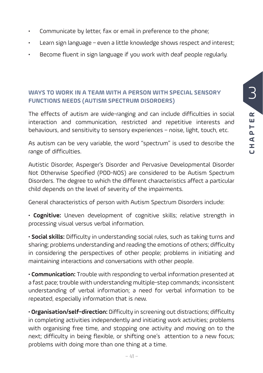- Communicate by letter, fax or email in preference to the phone;
- Learn sign language even a little knowledge shows respect and interest;
- Become fluent in sign language if you work with deaf people regularly.

#### **WAYS TO WORK IN A TEAM WITH A PERSON WITH SPECIAL SENSORY FUNCTIONS NEEDS (AUTISM SPECTRUM DISORDERS)**

The effects of autism are wide-ranging and can include difficulties in social interaction and communication, restricted and repetitive interests and behaviours, and sensitivity to sensory experiences – noise, light, touch, etc.

As autism can be very variable, the word "spectrum" is used to describe the range of difficulties.

Autistic Disorder, Asperger's Disorder and Pervasive Developmental Disorder Not Otherwise Specified (PDD-NOS) are considered to be Autism Spectrum Disorders. The degree to which the different characteristics affect a particular child depends on the level of severity of the impairments.

General characteristics of person with Autism Spectrum Disorders include:

• **Cognitive:** Uneven development of cognitive skills; relative strength in processing visual versus verbal information.

• **Social skills:** Difficulty in understanding social rules, such as taking turns and sharing; problems understanding and reading the emotions of others; difficulty in considering the perspectives of other people; problems in initiating and maintaining interactions and conversations with other people.

• **Communication:** Trouble with responding to verbal information presented at a fast pace; trouble with understanding multiple-step commands; inconsistent understanding of verbal information; a need for verbal information to be repeated, especially information that is new.

• **Organisation/self-direction:** Difficulty in screening out distractions; difficulty in completing activities independently and initiating work activities; problems with organising free time, and stopping one activity and moving on to the next; difficulty in being flexible, or shifting one's attention to a new focus; problems with doing more than one thing at a time.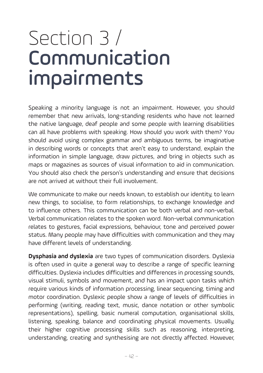### Section 3 / Communication impairments

Speaking a minority language is not an impairment. However, you should remember that new arrivals, long-standing residents who have not learned the native language, deaf people and some people with learning disabilities can all have problems with speaking. How should you work with them? You should avoid using complex grammar and ambiguous terms, be imaginative in describing words or concepts that aren't easy to understand, explain the information in simple language, draw pictures, and bring in objects such as maps or magazines as sources of visual information to aid in communication. You should also check the person's understanding and ensure that decisions are not arrived at without their full involvement.

We communicate to make our needs known, to establish our identity, to learn new things, to socialise, to form relationships, to exchange knowledge and to influence others. This communication can be both verbal and non-verbal. Verbal communication relates to the spoken word. Non-verbal communication relates to gestures, facial expressions, behaviour, tone and perceived power status. Many people may have difficulties with communication and they may have different levels of understanding.

**Dysphasia and dyslexia** are two types of communication disorders. Dyslexia is often used in quite a general way to describe a range of specific learning difficulties. Dyslexia includes difficulties and differences in processing sounds, visual stimuli, symbols and movement, and has an impact upon tasks which require various kinds of information processing, linear sequencing, timing and motor coordination. Dyslexic people show a range of levels of difficulties in performing (writing, reading text, music, dance notation or other symbolic representations), spelling, basic numeral computation, organisational skills, listening, speaking, balance and coordinating physical movements. Usually, their higher cognitive processing skills such as reasoning, interpreting, understanding, creating and synthesising are not directly affected. However,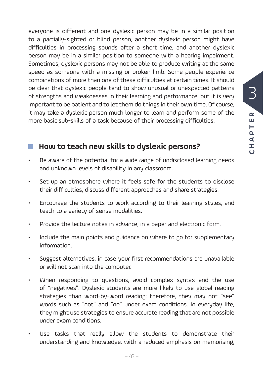$\overline{\mathbf{C}}$ 

everyone is different and one dyslexic person may be in a similar position to a partially-sighted or blind person, another dyslexic person might have difficulties in processing sounds after a short time, and another dyslexic person may be in a similar position to someone with a hearing impairment. Sometimes, dyslexic persons may not be able to produce writing at the same speed as someone with a missing or broken limb. Some people experience combinations of more than one of these difficulties at certain times. It should be clear that dyslexic people tend to show unusual or unexpected patterns of strengths and weaknesses in their learning and performance, but it is very important to be patient and to let them do things in their own time. Of course, it may take a dyslexic person much longer to learn and perform some of the more basic sub-skills of a task because of their processing difficulties.

### ■ How to teach new skills to dyslexic persons?

- Be aware of the potential for a wide range of undisclosed learning needs and unknown levels of disability in any classroom.
- Set up an atmosphere where it feels safe for the students to disclose their difficulties, discuss different approaches and share strategies.
- Encourage the students to work according to their learning styles, and teach to a variety of sense modalities.
- Provide the lecture notes in advance, in a paper and electronic form.
- Include the main points and guidance on where to go for supplementary information.
- Suggest alternatives, in case your first recommendations are unavailable or will not scan into the computer.
- When responding to questions, avoid complex syntax and the use of "negatives". Dyslexic students are more likely to use global reading strategies than word-by-word reading; therefore, they may not "see" words such as "not" and "no" under exam conditions. In everyday life, they might use strategies to ensure accurate reading that are not possible under exam conditions.
- Use tasks that really allow the students to demonstrate their understanding and knowledge, with a reduced emphasis on memorising,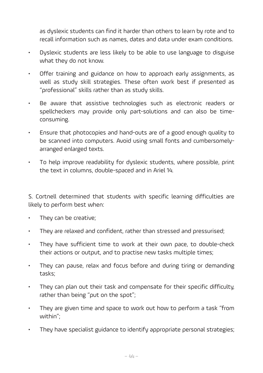as dyslexic students can find it harder than others to learn by rote and to recall information such as names, dates and data under exam conditions.

- Dyslexic students are less likely to be able to use language to disguise what they do not know.
- Offer training and guidance on how to approach early assignments, as well as study skill strategies. These often work best if presented as "professional" skills rather than as study skills.
- Be aware that assistive technologies such as electronic readers or spellcheckers may provide only part-solutions and can also be timeconsuming.
- Ensure that photocopies and hand-outs are of a good enough quality to be scanned into computers. Avoid using small fonts and cumbersomelyarranged enlarged texts.
- To help improve readability for dyslexic students, where possible, print the text in columns, double-spaced and in Ariel 14.

S. Cortnell determined that students with specific learning difficulties are likely to perform best when:

- They can be creative;
- They are relaxed and confident, rather than stressed and pressurised;
- They have sufficient time to work at their own pace, to double-check their actions or output, and to practise new tasks multiple times;
- They can pause, relax and focus before and during tiring or demanding tasks;
- They can plan out their task and compensate for their specific difficulty, rather than being "put on the spot";
- They are given time and space to work out how to perform a task "from within";
- They have specialist guidance to identify appropriate personal strategies;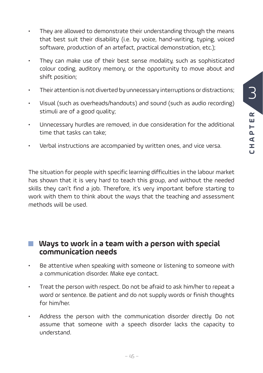- They are allowed to demonstrate their understanding through the means that best suit their disability (i.e. by voice, hand-writing, typing, voiced software, production of an artefact, practical demonstration, etc.);
- They can make use of their best sense modality, such as sophisticated colour coding, auditory memory, or the opportunity to move about and shift position;
- Their attention is not diverted by unnecessary interruptions or distractions;
- Visual (such as overheads/handouts) and sound (such as audio recording) stimuli are of a good quality;
- Unnecessary hurdles are removed, in due consideration for the additional time that tasks can take;
- Verbal instructions are accompanied by written ones, and vice versa.

The situation for people with specific learning difficulties in the labour market has shown that it is very hard to teach this group, and without the needed skills they can't find a job. Therefore, it's very important before starting to work with them to think about the ways that the teaching and assessment methods will be used.

#### **Ways to work in a team with a person with special communication needs**

- Be attentive when speaking with someone or listening to someone with a communication disorder. Make eye contact.
- Treat the person with respect. Do not be afraid to ask him/her to repeat a word or sentence. Be patient and do not supply words or finish thoughts for him/her.
- Address the person with the communication disorder directly. Do not assume that someone with a speech disorder lacks the capacity to understand.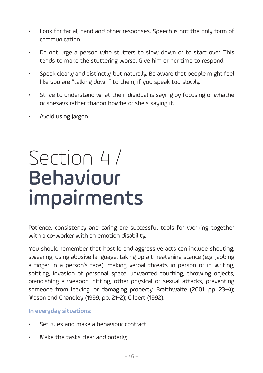- Look for facial, hand and other responses. Speech is not the only form of communication.
- Do not urge a person who stutters to slow down or to start over. This tends to make the stuttering worse. Give him or her time to respond.
- Speak clearly and distinctly, but naturally. Be aware that people might feel like you are "talking down" to them, if you speak too slowly.
- Strive to understand what the individual is saying by focusing onwhathe or shesays rather thanon howhe or sheis saying it.
- Avoid using jargon

### Section 4 / Behaviour impairments

Patience, consistency and caring are successful tools for working together with a co-worker with an emotion disability.

You should remember that hostile and aggressive acts can include shouting, swearing, using abusive language, taking up a threatening stance (e.g. jabbing a finger in a person's face), making verbal threats in person or in writing, spitting, invasion of personal space, unwanted touching, throwing objects, brandishing a weapon, hitting, other physical or sexual attacks, preventing someone from leaving, or damaging property. Braithwaite (2001, pp. 23–4); Mason and Chandley (1999, pp. 21–2); Gilbert (1992).

#### **In everyday situations:**

- Set rules and make a behaviour contract:
- Make the tasks clear and orderly;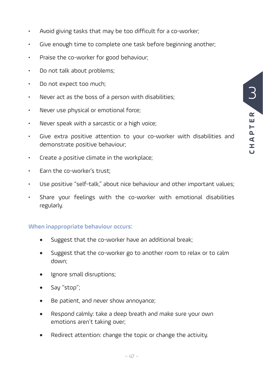- Avoid giving tasks that may be too difficult for a co-worker;
- Give enough time to complete one task before beginning another;
- Praise the co-worker for good behaviour;
- Do not talk about problems;
- Do not expect too much;
- Never act as the boss of a person with disabilities;
- Never use physical or emotional force;
- Never speak with a sarcastic or a high voice;
- Give extra positive attention to your co-worker with disabilities and demonstrate positive behaviour;
- Create a positive climate in the workplace;
- Earn the co-worker's trust;
- Use positive "self-talk," about nice behaviour and other important values;
- Share your feelings with the co-worker with emotional disabilities regularly.

#### **When inappropriate behaviour occurs:**

- Suggest that the co-worker have an additional break;
- Suggest that the co-worker go to another room to relax or to calm down;
- Ignore small disruptions;
- Say "stop";
- Be patient, and never show annoyance;
- Respond calmly: take a deep breath and make sure your own emotions aren't taking over;
- Redirect attention: change the topic or change the activity.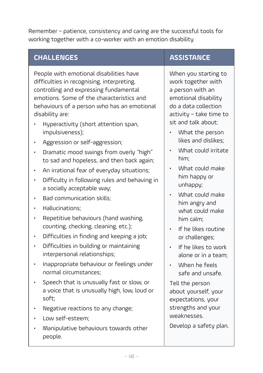Remember – patience, consistency and caring are the successful tools for working together with a co-worker with an emotion disability.

### **CHALLENGES ASSISTANCE**

People with emotional disabilities have difficulties in recognising, interpreting, controlling and expressing fundamental emotions. Some of the characteristics and behaviours of a person who has an emotional disability are:

- Hyperactivity (short attention span, impulsiveness);
- Aggression or self-aggression;
- Dramatic mood swings from overly "high" to sad and hopeless, and then back again;
- An irrational fear of everyday situations;
- Difficulty in following rules and behaving in a socially acceptable way;
- Bad communication skills;
- Hallucinations;
- Repetitive behaviours (hand washing, counting, checking, cleaning, etc.);
- Difficulties in finding and keeping a job;
- Difficulties in building or maintaining interpersonal relationships;
- Inappropriate behaviour or feelings under normal circumstances;
- Speech that is unusually fast or slow, or a voice that is unusually high, low, loud or soft;
- Negative reactions to any change;
- Low self-esteem;
- Manipulative behaviours towards other people.

When you starting to work together with a person with an emotional disability do a data collection activity – take time to sit and talk about:

- What the person likes and dislikes;
- What could irritate him;
- What could make him happy or unhappy;
- What could make him angry and what could make him calm;
- If he likes routine or challenges;
- If he likes to work alone or in a team;
- When he feels safe and unsafe.

Tell the person about yourself, your expectations, your strengths and your weaknesses.

Develop a safety plan.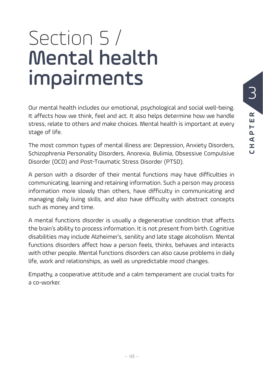### Section 5 / Mental health impairments

Our mental health includes our emotional, psychological and social well-being. It affects how we think, feel and act. It also helps determine how we handle stress, relate to others and make choices. Mental health is important at every stage of life.

The most common types of mental illness are: Depression, Anxiety Disorders, Schizophrenia Personality Disorders, Anorexia, Bulimia, Obsessive Compulsive Disorder (OCD) and Post-Traumatic Stress Disorder (PTSD).

A person with a disorder of their mental functions may have difficulties in communicating, learning and retaining information. Such a person may process information more slowly than others, have difficulty in communicating and managing daily living skills, and also have difficulty with abstract concepts such as money and time.

A mental functions disorder is usually a degenerative condition that affects the brain's ability to process information. It is not present from birth. Cognitive disabilities may include Alzheimer's, senility and late stage alcoholism. Mental functions disorders affect how a person feels, thinks, behaves and interacts with other people. Mental functions disorders can also cause problems in daily life, work and relationships, as well as unpredictable mood changes.

Empathy, a cooperative attitude and a calm temperament are crucial traits for a co-worker.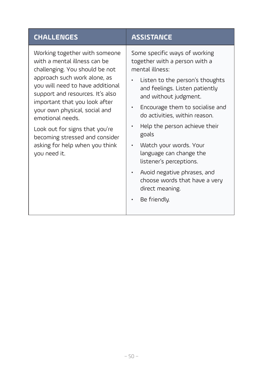#### **CHALLENGES ASSISTANCE**

Working together with someone with a mental illness can be challenging. You should be not approach such work alone, as you will need to have additional support and resources. It's also important that you look after your own physical, social and emotional needs.

Look out for signs that you're becoming stressed and consider asking for help when you think you need it.

Some specific ways of working together with a person with a mental illness:

- Listen to the person's thoughts and feelings. Listen patiently and without judgment.
- Encourage them to socialise and do activities, within reason.
- Help the person achieve their goals
- Watch your words. Your language can change the listener's perceptions.
- Avoid negative phrases, and choose words that have a very direct meaning.
- Be friendly.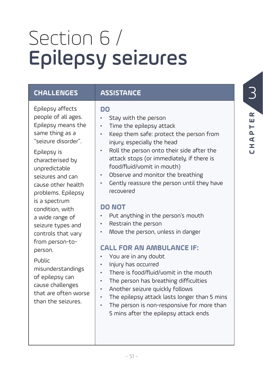## Section 6 / Epilepsy seizures

#### **CHALLENGES ASSISTANCE**

Epilepsy affects people of all ages. Epilepsy means the same thing as a "seizure disorder".

Epilepsy is characterised by unpredictable seizures and can cause other health problems. Epilepsy is a spectrum condition, with a wide range of seizure types and controls that vary from person-toperson.

#### Public

misunderstandings of epilepsy can cause challenges that are often worse than the seizures.

#### **DO**

- Stay with the person
- Time the epilepsy attack
- Keep them safe: protect the person from injury, especially the head
- Roll the person onto their side after the attack stops (or immediately, if there is food/fluid/vomit in mouth)
- Observe and monitor the breathing
- Gently reassure the person until they have recovered

#### **DO NOT**

- Put anything in the person's mouth
- Restrain the person
- Move the person, unless in danger

#### **CALL FOR AN AMBULANCE IF:**

- You are in any doubt
- Injury has occurred
- There is food/fluid/vomit in the mouth
- The person has breathing difficulties
- Another seizure quickly follows
- The epilepsy attack lasts longer than 5 mins
- The person is non-responsive for more than 5 mins after the epilepsy attack ends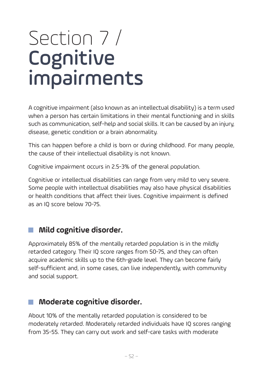### Section 7 / **Cognitive** impairments

A cognitive impairment (also known as an intellectual disability) is a term used when a person has certain limitations in their mental functioning and in skills such as communication, self-help and social skills. It can be caused by an injury, disease, genetic condition or a brain abnormality.

This can happen before a child is born or during childhood. For many people, the cause of their intellectual disability is not known.

Cognitive impairment occurs in 2.5-3% of the general population.

Cognitive or intellectual disabilities can range from very mild to very severe. Some people with intellectual disabilities may also have physical disabilities or health conditions that affect their lives. Cognitive impairment is defined as an IQ score below 70-75.

### **Mild cognitive disorder.**

Approximately 85% of the mentally retarded population is in the mildly retarded category. Their IQ score ranges from 50-75, and they can often acquire academic skills up to the 6th-grade level. They can become fairly self-sufficient and, in some cases, can live independently, with community and social support.

#### **Moderate cognitive disorder.**

About 10% of the mentally retarded population is considered to be moderately retarded. Moderately retarded individuals have IQ scores ranging from 35-55. They can carry out work and self-care tasks with moderate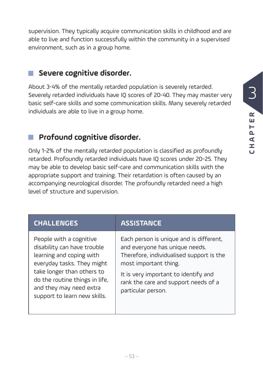supervision. They typically acquire communication skills in childhood and are able to live and function successfully within the community in a supervised environment, such as in a group home.

#### **Severe cognitive disorder.**

About 3-4% of the mentally retarded population is severely retarded. Severely retarded individuals have IQ scores of 20-40. They may master very basic self-care skills and some communication skills. Many severely retarded individuals are able to live in a group home.

### **Profound cognitive disorder.**

Only 1-2% of the mentally retarded population is classified as profoundly retarded. Profoundly retarded individuals have IQ scores under 20-25. They may be able to develop basic self-care and communication skills with the appropriate support and training. Their retardation is often caused by an accompanying neurological disorder. The profoundly retarded need a high level of structure and supervision.

| <b>CHALLENGES</b>                                                                                                                                                                                                                           | <b>ASSISTANCE</b>                                                                                                                                                                                                                                    |
|---------------------------------------------------------------------------------------------------------------------------------------------------------------------------------------------------------------------------------------------|------------------------------------------------------------------------------------------------------------------------------------------------------------------------------------------------------------------------------------------------------|
| People with a cognitive<br>disability can have trouble<br>learning and coping with<br>everyday tasks. They might<br>take longer than others to<br>do the routine things in life,<br>and they may need extra<br>support to learn new skills. | Each person is unique and is different,<br>and everyone has unique needs.<br>Therefore, individualised support is the<br>most important thing.<br>It is very important to identify and<br>rank the care and support needs of a<br>particular person. |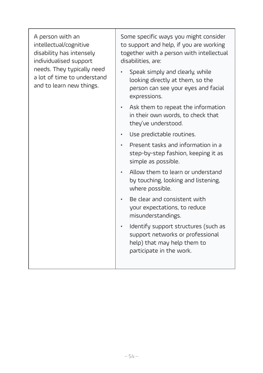| A person with an<br>intellectual/cognitive<br>disability has intensely<br>individualised support<br>needs. They typically need<br>a lot of time to understand<br>and to learn new things. | Some specific ways you might consider<br>to support and help, if you are working<br>together with a person with intellectual<br>disabilities, are: |
|-------------------------------------------------------------------------------------------------------------------------------------------------------------------------------------------|----------------------------------------------------------------------------------------------------------------------------------------------------|
|                                                                                                                                                                                           | Speak simply and clearly, while<br>looking directly at them, so the<br>person can see your eyes and facial<br>expressions.                         |
|                                                                                                                                                                                           | • Ask them to repeat the information<br>in their own words, to check that<br>they've understood.                                                   |
|                                                                                                                                                                                           | Use predictable routines.<br>$\bullet$                                                                                                             |
|                                                                                                                                                                                           | Present tasks and information in a<br>$\bullet$<br>step-by-step fashion, keeping it as<br>simple as possible.                                      |
|                                                                                                                                                                                           | Allow them to learn or understand<br>$\bullet$<br>by touching, looking and listening,<br>where possible.                                           |
|                                                                                                                                                                                           | Be clear and consistent with<br>your expectations, to reduce<br>misunderstandings.                                                                 |
|                                                                                                                                                                                           | Identify support structures (such as<br>$\bullet$<br>support networks or professional<br>help) that may help them to<br>participate in the work.   |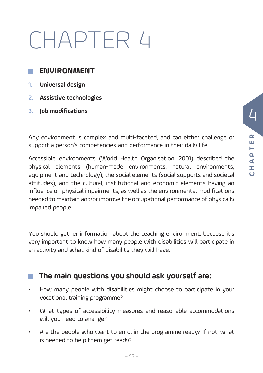## CHAPTER 4

#### **ENVIRONMENT**

- **1. Universal design**
- **2. Assistive technologies**
- **3. Job modifications**

Any environment is complex and multi-faceted, and can either challenge or support a person's competencies and performance in their daily life.

Accessible environments (World Health Organisation, 2001) described the physical elements (human-made environments, natural environments, equipment and technology), the social elements (social supports and societal attitudes), and the cultural, institutional and economic elements having an influence on physical impairments, as well as the environmental modifications needed to maintain and/or improve the occupational performance of physically impaired people.

You should gather information about the teaching environment, because it's very important to know how many people with disabilities will participate in an activity and what kind of disability they will have.

#### **The main questions you should ask yourself are:**

- How many people with disabilities might choose to participate in your vocational training programme?
- What types of accessibility measures and reasonable accommodations will you need to arrange?
- Are the people who want to enrol in the programme ready? If not, what is needed to help them get ready?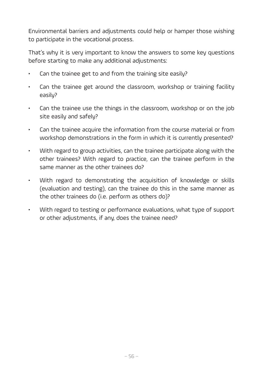Environmental barriers and adjustments could help or hamper those wishing to participate in the vocational process.

That's why it is very important to know the answers to some key questions before starting to make any additional adjustments:

- Can the trainee get to and from the training site easily?
- Can the trainee get around the classroom, workshop or training facility easily?
- Can the trainee use the things in the classroom, workshop or on the job site easily and safely?
- Can the trainee acquire the information from the course material or from workshop demonstrations in the form in which it is currently presented?
- With regard to group activities, can the trainee participate along with the other trainees? With regard to practice, can the trainee perform in the same manner as the other trainees do?
- With regard to demonstrating the acquisition of knowledge or skills (evaluation and testing), can the trainee do this in the same manner as the other trainees do (i.e. perform as others do)?
- With regard to testing or performance evaluations, what type of support or other adjustments, if any, does the trainee need?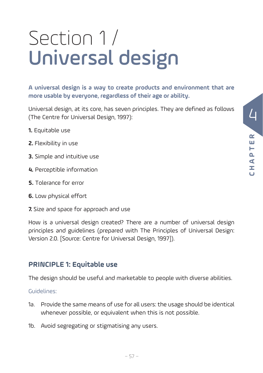## Section 1 / Universal design

**A universal design is a way to create products and environment that are more usable by everyone, regardless of their age or ability.** 

Universal design, at its core, has seven principles. They are defined as follows (The Centre for Universal Design, 1997):

- **1.** Equitable use
- **2.** Flexibility in use
- **3.** Simple and intuitive use
- **4.** Perceptible information
- **5.** Tolerance for error
- **6.** Low physical effort
- **7.** Size and space for approach and use

How is a universal design created? There are a number of universal design principles and guidelines (prepared with The Principles of Universal Design: Version 2.0. [Source: Centre for Universal Design, 1997]).

#### **PRINCIPLE 1: Equitable use**

The design should be useful and marketable to people with diverse abilities.

- 1a. Provide the same means of use for all users: the usage should be identical whenever possible, or equivalent when this is not possible.
- 1b. Avoid segregating or stigmatising any users.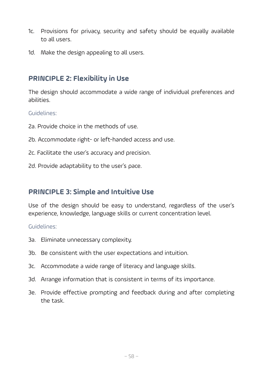- 1c. Provisions for privacy, security and safety should be equally available to all users.
- 1d. Make the design appealing to all users.

#### **PRINCIPLE 2: Flexibility in Use**

The design should accommodate a wide range of individual preferences and abilities.

Guidelines:

- 2a. Provide choice in the methods of use.
- 2b. Accommodate right- or left-handed access and use.
- 2c. Facilitate the user's accuracy and precision.
- 2d. Provide adaptability to the user's pace.

#### **PRINCIPLE 3: Simple and Intuitive Use**

Use of the design should be easy to understand, regardless of the user's experience, knowledge, language skills or current concentration level.

- 3a. Eliminate unnecessary complexity.
- 3b. Be consistent with the user expectations and intuition.
- 3c. Accommodate a wide range of literacy and language skills.
- 3d. Arrange information that is consistent in terms of its importance.
- 3e. Provide effective prompting and feedback during and after completing the task.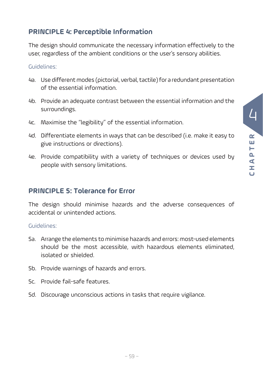#### **PRINCIPLE 4: Perceptible Information**

The design should communicate the necessary information effectively to the user, regardless of the ambient conditions or the user's sensory abilities.

#### Guidelines:

- 4a. Use different modes (pictorial, verbal, tactile) for a redundant presentation of the essential information.
- 4b. Provide an adequate contrast between the essential information and the surroundings.
- 4c. Maximise the "legibility" of the essential information.
- 4d. Differentiate elements in ways that can be described (i.e. make it easy to give instructions or directions).
- 4e. Provide compatibility with a variety of techniques or devices used by people with sensory limitations.

#### **PRINCIPLE 5: Tolerance for Error**

The design should minimise hazards and the adverse consequences of accidental or unintended actions.

- 5a. Arrange the elements to minimise hazards and errors: most-used elements should be the most accessible, with hazardous elements eliminated, isolated or shielded.
- 5b. Provide warnings of hazards and errors.
- 5c. Provide fail-safe features.
- 5d. Discourage unconscious actions in tasks that require vigilance.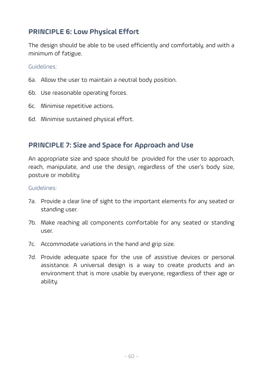#### **PRINCIPLE 6: Low Physical Effort**

The design should be able to be used efficiently and comfortably, and with a minimum of fatigue.

Guidelines:

- 6a. Allow the user to maintain a neutral body position.
- 6b. Use reasonable operating forces.
- 6c. Minimise repetitive actions.
- 6d. Minimise sustained physical effort.

#### **PRINCIPLE 7: Size and Space for Approach and Use**

An appropriate size and space should be provided for the user to approach, reach, manipulate, and use the design, regardless of the user's body size, posture or mobility.

- 7a. Provide a clear line of sight to the important elements for any seated or standing user.
- 7b. Make reaching all components comfortable for any seated or standing user.
- 7c. Accommodate variations in the hand and grip size.
- 7d. Provide adequate space for the use of assistive devices or personal assistance. A universal design is a way to create products and an environment that is more usable by everyone, regardless of their age or ability.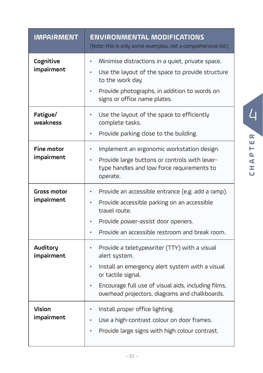| <b>IMPAIRMENT</b>               | <b>ENVIRONMENTAL MODIFICATIONS</b><br>(Note: this is only some examples, not a comprehensive list)                                                                                                                                                                                     |
|---------------------------------|----------------------------------------------------------------------------------------------------------------------------------------------------------------------------------------------------------------------------------------------------------------------------------------|
| Cognitive<br>impairment         | Minimise distractions in a quiet, private space.<br>$\bullet$<br>Use the layout of the space to provide structure<br>$\bullet$<br>to the work day.<br>Provide photographs, in addition to words on<br>$\bullet$<br>signs or office name plates.                                        |
| Fatigue/<br>weakness            | Use the layout of the space to efficiently<br>$\bullet$<br>complete tasks.<br>Provide parking close to the building.<br>$\bullet$                                                                                                                                                      |
| <b>Fine motor</b><br>impairment | Implement an ergonomic workstation design.<br>۰<br>Provide large buttons or controls with lever-<br>type handles and low force requirements to<br>operate.                                                                                                                             |
| Gross motor<br>impairment       | Provide an accessible entrance (e.g. add a ramp).<br>Provide accessible parking on an accessible<br>travel route.<br>Provide power-assist door openers.<br>Provide an accessible restroom and break room.                                                                              |
| <b>Auditory</b><br>impairment   | Provide a teletypewriter (TTY) with a visual<br>$\bullet$<br>alert system.<br>Install an emergency alert system with a visual<br>$\bullet$<br>or tactile signal.<br>Encourage full use of visual aids, including films,<br>$\bullet$<br>overhead projectors, diagrams and chalkboards. |
| Vision<br>impairment            | Install proper office lighting.<br>٠<br>Use a high-contrast colour on door frames.<br>$\bullet$<br>Provide large signs with high colour contrast.                                                                                                                                      |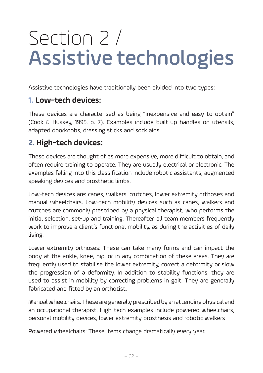### Section 2 / Assistive technologies

Assistive technologies have traditionally been divided into two types:

#### **1. Low-tech devices:**

These devices are characterised as being "inexpensive and easy to obtain" (Cook & Hussey, 1995, p. 7). Examples include built-up handles on utensils, adapted doorknobs, dressing sticks and sock aids.

#### **2. High-tech devices:**

These devices are thought of as more expensive, more difficult to obtain, and often require training to operate. They are usually electrical or electronic. The examples falling into this classification include robotic assistants, augmented speaking devices and prosthetic limbs.

Low-tech devices are: canes, walkers, crutches, lower extremity orthoses and manual wheelchairs. Low-tech mobility devices such as canes, walkers and crutches are commonly prescribed by a physical therapist, who performs the initial selection, set-up and training. Thereafter, all team members frequently work to improve a client's functional mobility, as during the activities of daily living.

Lower extremity orthoses: These can take many forms and can impact the body at the ankle, knee, hip, or in any combination of these areas. They are frequently used to stabilise the lower extremity, correct a deformity or slow the progression of a deformity. In addition to stability functions, they are used to assist in mobility by correcting problems in gait. They are generally fabricated and fitted by an orthotist.

Manual wheelchairs: These are generally prescribed by an attending physical and an occupational therapist. High-tech examples include powered wheelchairs, personal mobility devices, lower extremity prosthesis and robotic walkers

Powered wheelchairs: These items change dramatically every year.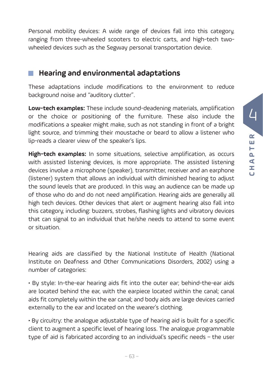Personal mobility devices: A wide range of devices fall into this category, ranging from three-wheeled scooters to electric carts, and high-tech twowheeled devices such as the Segway personal transportation device.

#### **Hearing and environmental adaptations**

These adaptations include modifications to the environment to reduce background noise and "auditory clutter".

**Low-tech examples:** These include sound-deadening materials, amplification or the choice or positioning of the furniture. These also include the modifications a speaker might make, such as not standing in front of a bright light source, and trimming their moustache or beard to allow a listener who lip-reads a clearer view of the speaker's lips.

**High-tech examples:** In some situations, selective amplification, as occurs with assisted listening devices, is more appropriate. The assisted listening devices involve a microphone (speaker), transmitter, receiver and an earphone (listener) system that allows an individual with diminished hearing to adjust the sound levels that are produced. In this way, an audience can be made up of those who do and do not need amplification. Hearing aids are generally all high tech devices. Other devices that alert or augment hearing also fall into this category, including: buzzers, strobes, flashing lights and vibratory devices that can signal to an individual that he/she needs to attend to some event or situation.

Hearing aids are classified by the National Institute of Health (National Institute on Deafness and Other Communications Disorders, 2002) using a number of categories:

• By style: In-the-ear hearing aids fit into the outer ear; behind-the-ear aids are located behind the ear, with the earpiece located within the canal; canal aids fit completely within the ear canal; and body aids are large devices carried externally to the ear and located on the wearer's clothing.

• By circuitry: the analogue adjustable type of hearing aid is built for a specific client to augment a specific level of hearing loss. The analogue programmable type of aid is fabricated according to an individual's specific needs – the user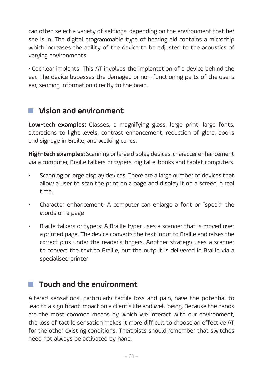can often select a variety of settings, depending on the environment that he/ she is in. The digital programmable type of hearing aid contains a microchip which increases the ability of the device to be adjusted to the acoustics of varying environments.

• Cochlear implants. This AT involves the implantation of a device behind the ear. The device bypasses the damaged or non-functioning parts of the user's ear, sending information directly to the brain.

### **Vision and environment**

**Low-tech examples:** Glasses, a magnifying glass, large print, large fonts, alterations to light levels, contrast enhancement, reduction of glare, books and signage in Braille, and walking canes.

**High-tech examples:** Scanning or large display devices, character enhancement via a computer, Braille talkers or typers, digital e-books and tablet computers.

- Scanning or large display devices: There are a large number of devices that allow a user to scan the print on a page and display it on a screen in real time.
- Character enhancement: A computer can enlarge a font or "speak" the words on a page
- Braille talkers or typers: A Braille typer uses a scanner that is moved over a printed page. The device converts the text input to Braille and raises the correct pins under the reader's fingers. Another strategy uses a scanner to convert the text to Braille, but the output is delivered in Braille via a specialised printer.

#### **Touch and the environment**

Altered sensations, particularly tactile loss and pain, have the potential to lead to a significant impact on a client's life and well-being. Because the hands are the most common means by which we interact with our environment, the loss of tactile sensation makes it more difficult to choose an effective AT for the other existing conditions. Therapists should remember that switches need not always be activated by hand.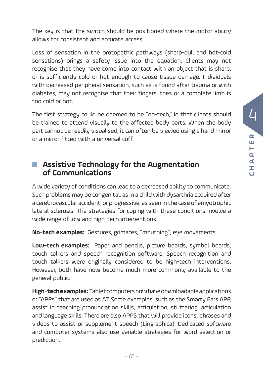The key is that the switch should be positioned where the motor ability allows for consistent and accurate access.

Loss of sensation in the protopathic pathways (sharp-dull and hot-cold sensations) brings a safety issue into the equation. Clients may not recognise that they have come into contact with an object that is sharp, or is sufficiently cold or hot enough to cause tissue damage. Individuals with decreased peripheral sensation, such as is found after trauma or with diabetes, may not recognise that their fingers, toes or a complete limb is too cold or hot.

The first strategy could be deemed to be "no-tech," in that clients should be trained to attend visually to the affected body parts. When the body part cannot be readily visualised, it can often be viewed using a hand mirror or a mirror fitted with a universal cuff.

#### **Assistive Technology for the Augmentation of Communications**

A wide variety of conditions can lead to a decreased ability to communicate. Such problems may be congenital, as in a child with dysarthria acquired after a cerebrovascular accident; or progressive, as seen in the case of amyotrophic lateral sclerosis. The strategies for coping with these conditions involve a wide range of low and high-tech interventions.

**No-tech examples:** Gestures, grimaces, "mouthing", eye movements.

**Low-tech examples:** Paper and pencils, picture boards, symbol boards, touch talkers and speech recognition software. Speech recognition and touch talkers were originally considered to be high-tech interventions. However, both have now become much more commonly available to the general public.

**High-tech examples:** Tablet computers now have downloadable applications or "APPs" that are used as AT. Some examples, such as the Smarty Ears APP, assist in teaching pronunciation skills, articulation, stuttering, articulation and language skills. There are also APPS that will provide icons, phrases and videos to assist or supplement speech (Lingraphica). Dedicated software and computer systems also use variable strategies for word selection or prediction.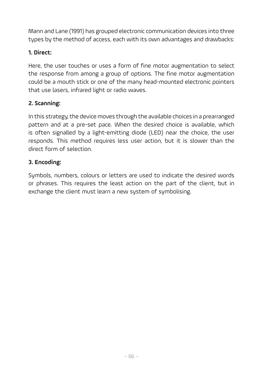Mann and Lane (1991) has grouped electronic communication devices into three types by the method of access, each with its own advantages and drawbacks:

#### **1. Direct:**

Here, the user touches or uses a form of fine motor augmentation to select the response from among a group of options. The fine motor augmentation could be a mouth stick or one of the many head-mounted electronic pointers that use lasers, infrared light or radio waves.

#### **2. Scanning:**

In this strategy, the device moves through the available choices in a prearranged pattern and at a pre-set pace. When the desired choice is available, which is often signalled by a light-emitting diode (LED) near the choice, the user responds. This method requires less user action, but it is slower than the direct form of selection.

#### **3. Encoding:**

Symbols, numbers, colours or letters are used to indicate the desired words or phrases. This requires the least action on the part of the client, but in exchange the client must learn a new system of symbolising.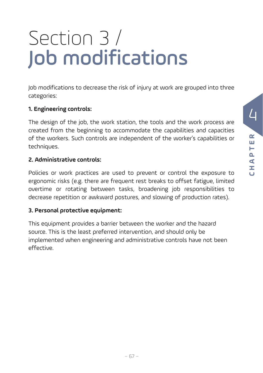## Section 3 / Job modifications

Job modifications to decrease the risk of injury at work are grouped into three categories:

#### **1. Engineering controls:**

The design of the job, the work station, the tools and the work process are created from the beginning to accommodate the capabilities and capacities of the workers. Such controls are independent of the worker's capabilities or techniques.

#### **2. Administrative controls:**

Policies or work practices are used to prevent or control the exposure to ergonomic risks (e.g. there are frequent rest breaks to offset fatigue, limited overtime or rotating between tasks, broadening job responsibilities to decrease repetition or awkward postures, and slowing of production rates).

#### **3. Personal protective equipment:**

This equipment provides a barrier between the worker and the hazard source. This is the least preferred intervention, and should only be implemented when engineering and administrative controls have not been effective.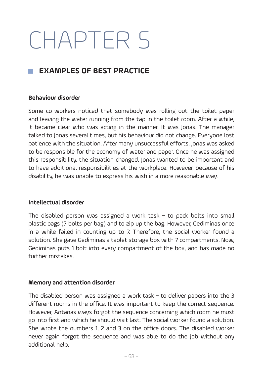# CHAPTER 5

#### **EXAMPLES OF BEST PRACTICE**

#### **Behaviour disorder**

Some co-workers noticed that somebody was rolling out the toilet paper and leaving the water running from the tap in the toilet room. After a while, it became clear who was acting in the manner. It was Jonas. The manager talked to Jonas several times, but his behaviour did not change. Everyone lost patience with the situation. After many unsuccessful efforts, Jonas was asked to be responsible for the economy of water and paper. Once he was assigned this responsibility, the situation changed. Jonas wanted to be important and to have additional responsibilities at the workplace. However, because of his disability, he was unable to express his wish in a more reasonable way.

#### **Intellectual disorder**

The disabled person was assigned a work task  $-$  to pack bolts into small plastic bags (7 bolts per bag) and to zip up the bag. However, Gediminas once in a while failed in counting up to 7. Therefore, the social worker found a solution. She gave Gediminas a tablet storage box with 7 compartments. Now, Gediminas puts 1 bolt into every compartment of the box, and has made no further mistakes.

#### **Memory and attention disorder**

The disabled person was assigned a work task – to deliver papers into the 3 different rooms in the office. It was important to keep the correct sequence. However, Antanas ways forgot the sequence concerning which room he must go into first and which he should visit last. The social worker found a solution. She wrote the numbers 1, 2 and 3 on the office doors. The disabled worker never again forgot the sequence and was able to do the job without any additional help.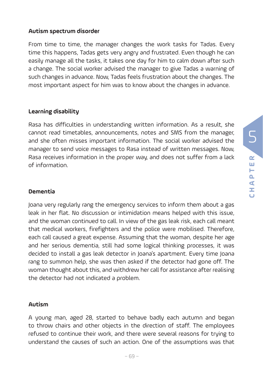#### **Autism spectrum disorder**

From time to time, the manager changes the work tasks for Tadas. Every time this happens, Tadas gets very angry and frustrated. Even though he can easily manage all the tasks, it takes one day for him to calm down after such a change. The social worker advised the manager to give Tadas a warning of such changes in advance. Now, Tadas feels frustration about the changes. The most important aspect for him was to know about the changes in advance.

#### **Learning disability**

Rasa has difficulties in understanding written information. As a result, she cannot read timetables, announcements, notes and SMS from the manager, and she often misses important information. The social worker advised the manager to send voice messages to Rasa instead of written messages. Now, Rasa receives information in the proper way, and does not suffer from a lack of information.

#### **Dementia**

Joana very regularly rang the emergency services to inform them about a gas leak in her flat. No discussion or intimidation means helped with this issue, and the woman continued to call. In view of the gas leak risk, each call meant that medical workers, firefighters and the police were mobilised. Therefore, each call caused a great expense. Assuming that the woman, despite her age and her serious dementia, still had some logical thinking processes, it was decided to install a gas leak detector in Joana's apartment. Every time Joana rang to summon help, she was then asked if the detector had gone off. The woman thought about this, and withdrew her call for assistance after realising the detector had not indicated a problem.

#### **Autism**

A young man, aged 28, started to behave badly each autumn and began to throw chairs and other objects in the direction of staff. The employees refused to continue their work, and there were several reasons for trying to understand the causes of such an action. One of the assumptions was that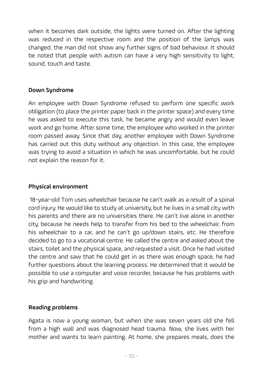when it becomes dark outside, the lights were turned on. After the lighting was reduced in the respective room and the position of the lamps was changed, the man did not show any further signs of bad behaviour. It should be noted that people with autism can have a very high sensitivity to light, sound, touch and taste.

#### **Down Syndrome**

An employee with Down Syndrome refused to perform one specific work obligation (to place the printer paper back in the printer space) and every time he was asked to execute this task, he became angry and would even leave work and go home. After some time, the employee who worked in the printer room passed away. Since that day, another employee with Down Syndrome has carried out this duty without any objection. In this case, the employee was trying to avoid a situation in which he was uncomfortable, but he could not explain the reason for it.

#### **Physical environment**

 18-year-old Tom uses wheelchair because he can't walk as a result of a spinal cord injury. He would like to study at university, but he lives in a small city with his parents and there are no universities there. He can't live alone in another city, because he needs help to transfer from his bed to the wheelchair, from his wheelchair to a car, and he can't go up/down stairs, etc. He therefore decided to go to a vocational centre. He called the centre and asked about the stairs, toilet and the physical space, and requested a visit. Once he had visited the centre and saw that he could get in as there was enough space, he had further questions about the learning process. He determined that it would be possible to use a computer and voice recorder, because he has problems with his grip and handwriting.

#### **Reading problems**

Agata is now a young woman, but when she was seven years old she fell from a high wall and was diagnosed head trauma. Now, she lives with her mother and wants to learn painting. At home, she prepares meals, does the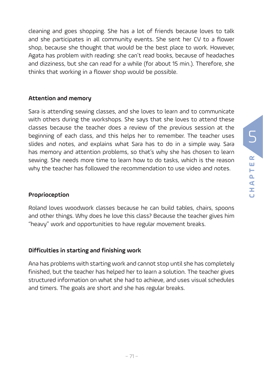cleaning and goes shopping. She has a lot of friends because loves to talk and she participates in all community events. She sent her CV to a flower shop, because she thought that would be the best place to work. However, Agata has problem with reading: she can't read books, because of headaches and dizziness, but she can read for a while (for about 15 min.). Therefore, she thinks that working in a flower shop would be possible.

#### **Attention and memory**

Sara is attending sewing classes, and she loves to learn and to communicate with others during the workshops. She says that she loves to attend these classes because the teacher does a review of the previous session at the beginning of each class, and this helps her to remember. The teacher uses slides and notes, and explains what Sara has to do in a simple way. Sara has memory and attention problems, so that's why she has chosen to learn sewing. She needs more time to learn how to do tasks, which is the reason why the teacher has followed the recommendation to use video and notes.

#### **Proprioception**

Roland loves woodwork classes because he can build tables, chairs, spoons and other things. Why does he love this class? Because the teacher gives him "heavy" work and opportunities to have regular movement breaks.

#### **Difficulties in starting and finishing work**

Ana has problems with starting work and cannot stop until she has completely finished, but the teacher has helped her to learn a solution. The teacher gives structured information on what she had to achieve, and uses visual schedules and timers. The goals are short and she has regular breaks.